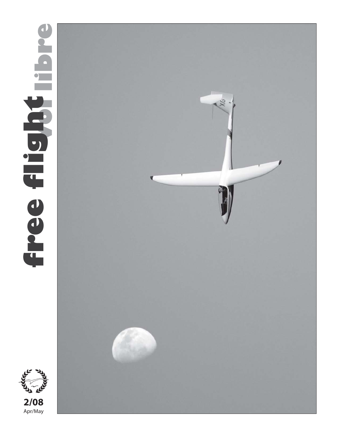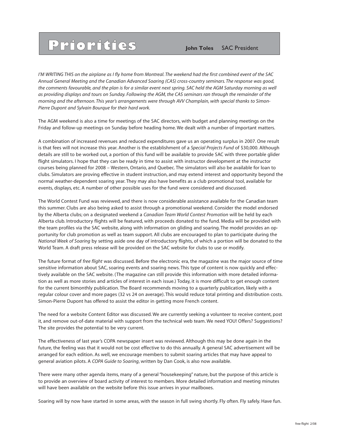# **PPIOPIGIES John Toles** SAC President

*I'M WRITING THIS on the airplane as I fly home from Montreal. The weekend had the first combined event of the SAC Annual General Meeting and the Canadian Advanced Soaring (CAS) cross-country seminars. The response was good,* the comments favourable, and the plan is for a similar event next spring. SAC held the AGM Saturday morning as well *as providing displays and tours on Sunday. Following the AGM, the CAS seminars ran through the remainder of the morning and the afternoon. This year's arrangements were through AVV Champlain, with special thanks to Simon-Pierre Dupont and Sylvain Bourque for their hard work.*

The AGM weekend is also a time for meetings of the SAC directors, with budget and planning meetings on the Friday and follow-up meetings on Sunday before heading home. We dealt with a number of important matters.

A combination of increased revenues and reduced expenditures gave us an operating surplus in 2007. One result is that fees will not increase this year. Another is the establishment of a *Special Projects Fund* of \$30,000. Although details are still to be worked out, a portion of this fund will be available to provide SAC with three portable glider flight simulators. I hope that they can be ready in time to assist with instructor development at the instructor courses being planned for 2008 – Western, Ontario, and Quebec. The simulators will also be available for loan to clubs. Simulators are proving effective in student instruction, and may extend interest and opportunity beyond the normal weather-dependent soaring year. They may also have benefits as a club promotional tool, available for events, displays, etc. A number of other possible uses for the fund were considered and discussed.

The World Contest Fund was reviewed, and there is now considerable assistance available for the Canadian team this summer. Clubs are also being asked to assist through a promotional weekend. Consider the model endorsed by the Alberta clubs; on a designated weekend a *Canadian Team World Contest Promotion* will be held by each Alberta club. Introductory flights will be featured, with proceeds donated to the fund. Media will be provided with the team profiles via the SAC website, along with information on gliding and soaring. The model provides an opportunity for club promotion as well as team support. All clubs are encouraged to plan to participate during the *National Week of Soaring* by setting aside one day of introductory flights, of which a portion will be donated to the World Team. A draft press release will be provided on the SAC website for clubs to use or modify.

The future format of *free flight* was discussed. Before the electronic era, the magazine was the major source of time sensitive information about SAC, soaring events and soaring news. This type of content is now quickly and effectively available on the SAC website. (The magazine can still provide this information with more detailed information as well as more stories and articles of interest in each issue.) Today, it is more difficult to get enough content for the current bimonthly publication. The Board recommends moving to a quarterly publication, likely with a regular colour cover and more pages (32 vs 24 on average). This would reduce total printing and distribution costs. Simon-Pierre Dupont has offered to assist the editor in getting more French content.

The need for a website Content Editor was discussed. We are currently seeking a volunteer to receive content, post it, and remove out-of-date material with support from the technical web team. We need YOU! Offers? Suggestions? The site provides the potential to be very current.

The effectiveness of last year's COPA newspaper insert was reviewed. Although this may be done again in the future, the feeling was that it would not be cost effective to do this annually. A general SAC advertisement will be arranged for each edition. As well, we encourage members to submit soaring articles that may have appeal to general aviation pilots. A *COPA Guide to Soaring*, written by Dan Cook, is also now available.

There were many other agenda items, many of a general "housekeeping" nature, but the purpose of this article is to provide an overview of board activity of interest to members. More detailed information and meeting minutes will have been available on the website before this issue arrives in your mailboxes.

Soaring will by now have started in some areas, with the season in full swing shortly. Fly often. Fly safely. Have fun.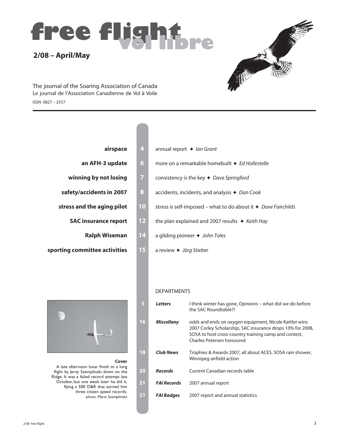



ISSN 0827 – 2557 The journal of the Soaring Association of Canada Le journal de l'Association Canadienne de Vol à Voile

| an AFH-3 update      |
|----------------------|
| inning by not losing |
| ty/accidents in 2007 |

- - **SAC insurance report** 
		- **Ralph Wiseman**
- **sporting committee activities 15** a review  $\triangle$  *Jörg Stieber*

### **Cover**

A late afternoon lunar finish to a long flight by Jerzy Szemplinski down on the Ridge. It was a failed record attempt last October, but one week later he did it, flying a 500 O&R that earned him three citizen speed records. photo: Maria Szemplinska

| airspace<br>4                     | annual report $\triangleleft$ lan Grant                                      |
|-----------------------------------|------------------------------------------------------------------------------|
| 6<br>an AFH-3 update              | more on a remarkable homebuilt ♦ Ed Hollestelle                              |
| 7<br>winning by not losing        | consistency is the key $\triangleleft$ Dave Springford                       |
| 8<br>safety/accidents in 2007     | accidents, incidents, and analysis $\triangle$ Dan Cook                      |
| 10<br>stress and the aging pilot  | stress is self-imposed – what to do about it $\triangleleft$ Dave Fairchilds |
| 12<br><b>SAC insurance report</b> | the plan explained and 2007 results $\rightarrow$ Keith Hay                  |
| $14$<br><b>Ralph Wiseman</b>      | a gliding pioneer $\rightarrow$ John Toles                                   |

### DEPARTMENTS

| $\overline{5}$ | <b>Letters</b>     | I think winter has gone, Opinions – what did we do before<br>the SAC Roundtable?!                                                                                                                          |
|----------------|--------------------|------------------------------------------------------------------------------------------------------------------------------------------------------------------------------------------------------------|
| 16             | <b>Miscellany</b>  | odds and ends on oxygen equipment, Nicole Kattler wins<br>2007 Corley Scholarship, SAC insurance drops 10% for 2008,<br>SOSA to host cross-country training camp and contest,<br>Charles Petersen honoured |
| 18             | <b>Club News</b>   | Trophies & Awards 2007, all about ACES, SOSA rain shower,<br>Winnipeg airfield action                                                                                                                      |
| 20             | <b>Records</b>     | Current Canadian records table                                                                                                                                                                             |
| 21             | <b>FAI Records</b> | 2007 annual report                                                                                                                                                                                         |
| 21             | <b>FAI Badges</b>  | 2007 report and annual statistics                                                                                                                                                                          |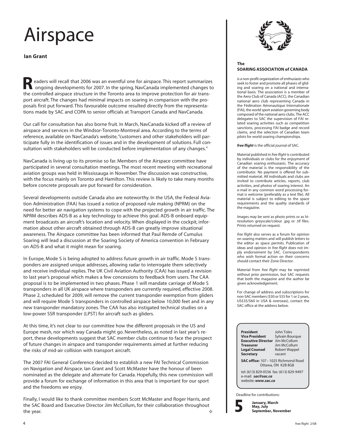# Airspace

**Ian Grant**

**R** eaders will recall that 2006 was an eventful one for airspace. This report summarizes ongoing developments for 2007. In the spring, NavCanada implemented changes to the controlled airspace structure in the Toronto area to improve protection for air transport aircraft. The changes had minimal impacts on soaring in comparison with the proposals first put forward. This favourable outcome resulted directly from the representations made by SAC and COPA to senior officials at Transport Canada and NavCanada.

Our call for consultation has also borne fruit. In March, NavCanada kicked off a review of airspace and services in the Windsor-Toronto-Montreal area. According to the terms of reference, available on NavCanada's website, "customers and other stakeholders will participate fully in the identification of issues and in the development of solutions. Full consultation with stakeholders will be conducted before implementation of any changes."

NavCanada is living up to its promise so far. Members of the Airspace committee have participated in several consultation meetings. The most recent meeting with recreational aviation groups was held in Mississauga in November. The discussion was constructive, with the focus mainly on Toronto and Hamilton. This review is likely to take many months before concrete proposals are put forward for consideration.

Several developments outside Canada also are noteworthy. In the USA, the Federal Aviation Administration (FAA) has issued a notice of proposed rule making (NPRM) on the need for better air navigation systems to cope with the projected growth in air traffic. The NPRM describes ADS-B as a key technology to achieve this goal. ADS-B onboard equipment broadcasts an aircraft's location and velocity. When displayed in the cockpit, information about other aircraft obtained through ADS-B can greatly improve situational awareness. The Airspace committee has been informed that Paul Remde of Cumulus Soaring will lead a discussion at the Soaring Society of America convention in February on ADS-B and what it might mean for soaring.

In Europe, Mode S is being adopted to address future growth in air traffic. Mode S transponders are assigned unique addresses, allowing radar to interrogate them selectively and receive individual replies. The UK Civil Aviation Authority (CAA) has issued a revision to last year's proposal which makes a few concessions to feedback from users. The CAA proposal is to be implemented in two phases. Phase 1 will mandate carriage of Mode S transponders in all UK airspace where transponders are currently required, effective 2008. Phase 2, scheduled for 2009, will remove the current transponder exemption from gliders and will require Mode S transponders in controlled airspace below 10,000 feet and in any new transponder mandatory zones. The CAA has also instigated technical studies on a low-power SSR transponder (LPST) for aircraft such as gliders.

At this time, it's not clear to our committee how the different proposals in the US and Europe mesh, nor which way Canada might go. Nevertheless, as noted in last year's report, these developments suggest that SAC member clubs continue to face the prospect of future changes in airspace and transponder requirements aimed at further reducing the risks of mid-air collision with transport aircraft.

The 2007 FAI General Conference decided to establish a new FAI Technical Commission on Navigation and Airspace. Ian Grant and Scott McMaster have the honour of been nominated as the delegate and alternate for Canada. Hopefully, this new commission will provide a forum for exchange of information in this area that is important for our sport and the freedoms we enjoy.

Finally, I would like to thank committee members Scott McMaster and Roger Harris, and the SAC Board and Executive Director Jim McCollum, for their collaboration throughout the year. The set of the set of the set of the set of the set of the set of the set of the set of the set of the set of the set of the set of the set of the set of the set of the set of the set of the set of the set of th



### **The SOARING ASSOCIATION of CANADA**

is a non-profit organization of enthusiasts who seek to foster and promote all phases of gliding and soaring on a national and international basis. The association is a member of the Aero Club of Canada (ACC), the Canadian national aero club representing Canada in the Fédération Aéronautique Internationale (FAI), the world sport aviation governing body composed of the national aero clubs. The ACC delegates to SAC the supervision of FAI related soaring activities such as competition sanctions, processing FAI badge and record claims, and the selection of Canadian team pilots for world soaring championships.

### *free flight* is the official journal of SAC.

Material published in *free flight* is contributed by individuals or clubs for the enjoyment of Canadian soaring enthusiasts. The accuracy of the material is the responsibility of the contributor. No payment is offered for submitted material. All individuals and clubs are invited to contribute articles, reports, club activities, and photos of soaring interest. An e-mail in any common word processing format is welcome (preferably as a text file). All material is subject to editing to the space requirements and the quality standards of the magazine.

Images may be sent as photo prints or as hiresolution greyscale/colour .jpg or .tif files. Prints returned on request.

*free flight* also serves as a forum for opinion on soaring matters and will publish letters to the editor as space permits. Publication of ideas and opinion in *free flight* does not imply endorsement by SAC. Correspondents who wish formal action on their concerns should contact their Zone Director.

Material from *free flight* may be reprinted without prior permission, but SAC requests that both the magazine and the author be given acknowledgement.

For change of address and subscriptions for non-SAC members (\$30 or \$55 for 1 or 2 years, US\$35/\$60 in USA & overseas), contact the SAC office at the address below.

| President                                   | John Toles           |  |  |  |  |  |
|---------------------------------------------|----------------------|--|--|--|--|--|
| Vice President                              | Sylvain Bourgue      |  |  |  |  |  |
| <b>Executive Director</b> Jim McCollum      |                      |  |  |  |  |  |
| <b>Treasurer</b>                            | Jim McCollum         |  |  |  |  |  |
| <b>Legal Counsel</b>                        | <b>Robert Wappel</b> |  |  |  |  |  |
| Secretary                                   | vacant               |  |  |  |  |  |
| <b>SAC office:</b> 107 - 1025 Richmond Road |                      |  |  |  |  |  |
|                                             | Ottawa, ON K2B 8G8   |  |  |  |  |  |

tel: (613) 829-0536 fax: (613) 829-9497 e-mail: *sac@sac.ca* website: *www.sac.ca*

Deadline for contributions:

**5**

**January, March May, July September, November**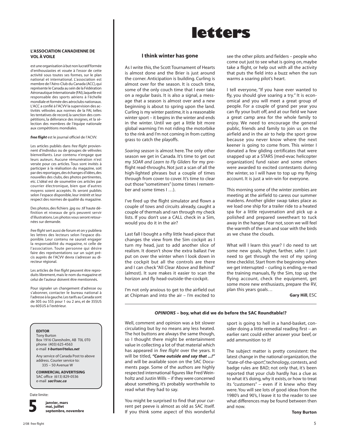### **L'ASSOCIATION CANADIENNE DE VOL À VOILE**

est une organisation à but non lucratif formée d'enthousiastes et vouée à l'essor de cette activité sous toutes ses formes, sur le plan national et international. L'association est membre de l'Aéro-Club du Canada (ACC), qui représente le Canada au sein de la Fédération Aéronautique Internationale (FAI), laquelle est responsable des sports aériens à l'échelle mondiale et formée des aéroclubs nationaux. L'ACC a confié à l'ACVV la supervision des activités vélivoles aux normes de la FAI, telles les tentatives de record, la sanction des compétitions, la délivrance des insignes, et la sélection des membres de l'équipe nationale aux compétitions mondiales.

### *free flight* est le journal officiel de l'ACVV.

Les articles publiés dans *free flight* proviennent d'individus ou de groupes de vélivoles bienveillants. Leur contenu n'engage que leurs auteurs. Aucune rémunération n'est versée pour ces articles. Tous sont invités à participer à la réalisation du magazine, soit par des reportages, des échanges d'idées, des nouvelles des clubs, des photos pertinentes, etc. L'idéal est de soumettre ces articles par courrier électronique, bien que d'autres moyens soient acceptés. Ils seront publiés selon l'espace disponible, leur intérêt et leur respect des normes de qualité du magazine.

Des photos, des fichiers .jpg ou .tif haute définition et niveaux de gris peuvent servir d'illustrations. Les photos vous seront retournées sur demande.

*free flight* sert aussi de forum et on y publiera les lettres des lecteurs selon l'espace disponible. Leur contenu ne saurait engager la responsabilité du magazine, ni celle de l'association. Toute personne qui désire faire des représentations sur un sujet précis auprès de l'ACVV devra s'adresser au directeur régional.

Les articles de *free flight* peuvent être reproduits librement, mais le nom du magazine et celui de l'auteur doivent être mentionnés.

Pour signaler un changement d'adresse ou s'abonner, contacter le bureau national à l'adresse à la gauche. Les tarifs au Canada sont de 30\$ ou 55\$ pour 1 ou 2 ans, et de 35\$US ou 60\$US à l'extérieur.

### **EDITOR**

Tony Burton Box 1916 Claresholm, AB T0L 0T0 phone (403) 625-4563 e-mail *t-burton@telus.net*

Any service of Canada Post to above address. Courier service to: 335 – 50 Avenue W

### **COMMERCIAL ADVERTISING**

SAC office (613) 829-0536 e-mail *sac@sac.ca*

### Date limite:



**janvier, mars mai, juillet septembre, novembre**

# **letters**

### **I think winter has gone**

As I write this, the Scott Tournament of Hearts is almost done and the Brier is just around the corner. Anticipation is building. Curling is almost over for the season. It is couch time, some of the only couch time that I ever take on a regular basis. It is also a signal, a message that a season is almost over and a new beginning is about to spring upon the land. Curling is my winter pastime, it is a reasonable winter sport – it begins in the winter and ends in the winter. Until we get a little bit more global warming I'm not riding the motorbike to the rink and I'm not coming in from cutting grass to catch the playoffs.

*Soaring season* is almost here. The only other season we get in Canada. It's time to get out my *SOAR and Learn to Fly Gliders* for my preflight read-throughs. Not just a scan of all the high-lighted phrases but a couple of times through from cover to cover. It's time to clear out those "sometimers" (some times I remember and some times I …).

I've fired up the flight simulator and flown a couple of tows and circuits already, caught a couple of thermals and ran through my check lists. If you don't use a CALL check in a Sim, would you do it in the air?

Last fall I bought a nifty little head-piece that changes the view from the Sim cockpit as I turn my head, just to add another slice of realism. It doesn't show the extra ballast I've put on over the winter when I look down in the cockpit but all the controls are there and I can check "All Clear Above and Behind" (almost). It sure makes it easier to scan the horizon and fly head-outside-the-cockpit.

I'm not only anxious to get to the airfield out at Chipman and into the air – I'm excited to see the other pilots and fielders – people who come out just to see what is going on, maybe take a flight, or help out with all the activity that puts the field into a buzz when the sun warms a soaring pilot's heart.

I tell everyone, "If you have ever wanted to fly, you should give soaring a try." It is economical and you will meet a great group of people. For a couple of grand per year you can fly your butt off, and at our field we have a great camp area for the whole family to enjoy. We need to encourage the general public, friends and family to join us on the airfield and in the air to help the sport grow because you never know where the next keener is going to come from. This winter I donated a few gliding certificates that were snapped up at a STARS [med-evac helicopter organization] fund raiser and some others were awarded to excited contestants during the winter, so I will have to top up my flying account. It is just a win-win for everyone.

This morning some of the winter zombies are meeting at the airfield to caress our summer maidens. Another glider swap takes place as we load one ship for a trailer ride to a heated spa for a little rejuvenation and pick up a polished and prepared sweetheart to tuck away in the hangar. Fear not, soon we will feel the warmth of the sun and soar with the birds as we chase the clouds.

What will I learn this year? I do need to set some new goals, higher, farther, safer. I just need to get through the rest of my spring time checklist. Start from the beginning when we get interrupted – curling is ending, re-read the training manuals, fly the Sim, top up the flying account, check the equipment, get some more new enthusiasts, prepare the RV, plan this years goals…

**Gary Hill**, ESC

### *OPINIONS* **– boy, what did we do before the SAC Roundtable !?**

Well, comment and opinion was a bit slower circulating but by no means any less heated. The hot buttons are always the same though, so I thought there might be entertainment value in collecting a lot of that material which has appeared in *free flight* over the years. It will be titled, *"Come outside and say that ...!"* and will be available soon on the SAC Documents page. Some of the authors are highly respected international figures like Fred Weinholtz and Justin Wills – if they were concerned about something, it's probably worthwhile to read what they had to say.

You might be surprised to find that your current pet peeve is almost as old as SAC itself. If you think some aspect of this wonderful sport is going to hell in a hand-basket, consider doing a little remedial reading first – an earlier rant could either answer your beef, or add ammunition to it!

The subject matter is pretty consistent: the latest change in the national organization, the "state-of-the-sport", technology, contests, and badge rules are BAD; not only that, it's been reported that your club hardly has a clue as to what it's doing, why it exists, or how to treat its "customers" – even if it knew who they were. You will see lots of good ideas from the 1980's and 90's, I leave it to the reader to see what differences may be found between then and now.

### **Tony Burton**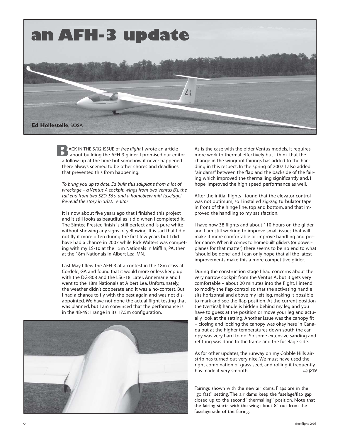

ACK IN THE 5/02 ISSUE of *free flight* I wrote an article **B**<br>ACK IN THE 5/02 ISSUE of *free flight* I wrote an article<br>about building the AFH-3 glider. I promised our editor a follow-up at the time but somehow it never happened – there always seemed to be other chores and deadlines that prevented this from happening.

*To bring you up to date, Ed built this sailplane from a lot of wreckage – a Ventus A cockpit, wings from two Ventus B's, the tail end from two SZD-55's, and a homebrew mid-fuselage! Re-read the story in 5/02. editor*

It is now about five years ago that I finished this project and it still looks as beautiful as it did when I completed it. The Simtec Prestec finish is still perfect and is pure white without showing any signs of yellowing. It is sad that I did not fly it more often during the first few years but I did have had a chance in 2007 while Rick Walters was competing with my LS-10 at the 15m Nationals in Mifflin, PA, then at the 18m Nationals in Albert Lea, MN.

Last May I flew the AFH-3 at a contest in the 18m class at Cordele, GA and found that it would more or less keep up with the DG-808 and the LS6-18. Later, Annemarie and I went to the 18m Nationals at Albert Lea. Unfortunately, the weather didn't cooperate and it was a no-contest. But I had a chance to fly with the best again and was not disappointed. We have not done the actual flight testing that was planned, but I am convinced that the performance is in the 48-49:1 range in its 17.5m configuration.



As is the case with the older Ventus models, it requires more work to thermal effectively but I think that the change in the wingroot fairings has added to the handling in this respect. In the spring of 2007 I also added "air dams" between the flap and the backside of the fairing which improved the thermalling significantly and, I hope, improved the high speed performance as well.

After the initial flights I found that the elevator control was not optimum, so I installed zig-zag turbulator tape in front of the hinge line, top and bottom, and that improved the handling to my satisfaction.

I have now 38 flights and about 110 hours on the glider and I am still working to improve small issues that will make it more comfortable or improve handling and performance. When it comes to homebuilt gliders (or powerplanes for that matter) there seems to be no end to what "should be done" and I can only hope that all the latest improvements make this a more competitive glider.

During the construction stage I had concerns about the very narrow cockpit from the Ventus A, but it gets very comfortable – about 20 minutes into the flight. I intend to modify the flap control so that the activating handle sits horizontal and above my left leg, making it possible to mark and see the flap position. At the current position the (vertical) handle is hidden behind my leg and you have to guess at the position or move your leg and actually look at the setting. Another issue was the canopy fit – closing and locking the canopy was okay here in Canada but at the higher temperatures down south the canopy was very hard to do! So some extensive sanding and refitting was done to the frame and the fuselage side.

As for other updates, the runway on my Cobble Hills airstrip has turned out very nice. We must have used the right combination of grass seed, and rolling it frequently has made it very smooth. **p19**

Fairings shown with the new air dams. Flaps are in the "go fast" setting. The air dams keep the fuselage/flap gap closed up to the second "thermalling" position. Note that the fairing starts with the wing about 8" out from the fuselage side of the fairing.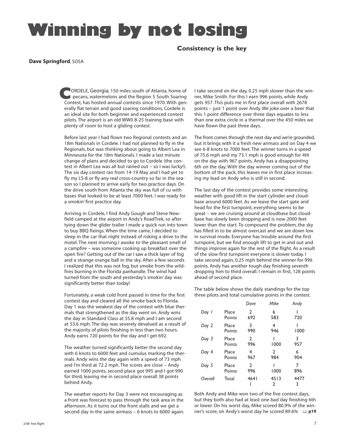# **Winning by not losing**

 **Consistency is the key**

### **Dave Springford**, SOSA

ORDELE, Georgia, 150 miles south of Atlanta, home of pecans, watermelons and the Region 5 South Soaring **CORDELE, Georgia, 150 miles south of Atlanta, home of pecans, watermelons and the Region 5 South Soaring Contest, has hosted annual contests since 1970. With gen**erally flat terrain and good soaring conditions, Cordele is an ideal site for both beginner and experienced contest pilots. The airport is an old WWII B-25 training base with plenty of room to host a gliding contest.

Before last year I had flown two Regional contests and an 18m Nationals in Cordele. I had not planned to fly in the Regionals, but was thinking about going to Albert Lea in Minnesota for the 18m Nationals. I made a last minute change of plans and decided to go to Cordele (the contest in Albert Lea was all but rained out – so I was lucky!). The six day contest ran from 14-19 May and I had yet to fly my LS-8 or fly any real cross-country so far in the season so I planned to arrive early for two practice days. On the drive south from Atlanta the sky was full of cu with bases that looked to be at least 7000 feet. I was ready for a smokin' first practice day.

Arriving in Cordele, I find Andy Gough and Steve Newfield camped at the airport in Andy's RoadTrek, so after tying down the glider trailer I made a quick run into town to buy BBQ fixings. When the time came, I decided to sleep in the car that night instead of risking a drive to the motel. The next morning I awoke to the pleasant smell of a campfire – was someone cooking up breakfast over the open fire? Getting out of the car I saw a thick layer of fog and a strange orange ball in the sky. After a few seconds I realized that this was not fog, but smoke from the wildfires burning in the Florida panhandle. The wind had turned from the south and yesterday's smokin' day was significantly better than today!

Fortunately, a weak cold front passed in time for the first contest day and cleared all the smoke back to Florida. Day 1 was the weakest day of the contest with blue thermals that strengthened as the day went on. Andy wins the day in Standard Class at 55.8 mph and I am second at 53.6 mph. The day was severely devalued as a result of the majority of pilots finishing in less than two hours. Andy earns 720 points for the day and I get 692.

The weather turned significantly better the second day with 6 knots to 6000 feet and cumulus marking the thermals. Andy wins the day again with a speed of 73 mph and I'm third at 72.2 mph. The scores are close – Andy earned 1000 points, second place got 995 and I got 990 for third, leaving me in second place overall 38 points behind Andy.

The weather reports for Day 3 were not encouraging as a front was forecast to pass through the task area in the afternoon. As it turns out the front stalls and we get a second day in the same airmass – 6 knots to 6000 again. I take second on the day, 0.25 mph slower than the winner, Mike Smith. For this I earn 996 points, while Andy gets 957. This puts me in first place overall with 2678 points – just 1 point over Andy. We joke over a beer that this 1 point difference over three days equates to less than one extra circle in a thermal over the 450 miles we have flown the past three days.

The front comes through the next day and we're grounded, but it brings with it a fresh new airmass and on Day 4 we see 6-8 knots to 7000 feet. The winner turns in a speed of 75.6 mph and my 73.1 mph is good enough for 4th on the day with 967 points. Andy has a disappointing 6th on the day. With the day winner coming out of the bottom of the pack, this leaves me in first place increasing my lead on Andy who is still in second.

The last day of the contest provides some interesting weather with good lift in the start cylinder and cloudbase around 6000 feet. As we leave the start gate and head for the first turnpoint, everything seems to be great – we are cruising around at cloudbase but cloudbase has slowly been dropping and is now 2000 feet lower than the start. To compound the problem, the sky has filled in to be almost overcast and we are down low in survival mode. Everyone has trouble around the first turnpoint, but we find enough lift to get in and out and things improve again for the rest of the flight. As a result of the slow first turnpoint everyone is slower today. I take second again, 0.25 mph behind the winner for 996 points. Andy has another tough day finishing seventh dropping him to third overall. I remain in first, 128 points ahead of second place.

The table below shows the daily standings for the top three pilots and total cumulative points in the contest.

|         |                 | Dave                  | Mike                | Andy      |
|---------|-----------------|-----------------------|---------------------|-----------|
| Day 1   | Place<br>Points | $\mathfrak{D}$<br>692 | 6<br>583            | 720       |
| Day 2   | Place<br>Points | 3<br>990              | 4<br>946            | 1000      |
| Day 3   | Place<br>Points | $\mathfrak{D}$<br>996 | 1000                | 3<br>957  |
| Day 4   | Place<br>Points | 4<br>967              | $\mathbf{2}$<br>984 | 6<br>904  |
| Day 5   | Place<br>Points | $\overline{2}$<br>996 | 1000                | 7<br>896  |
| Overall | Total           | 4641                  | 4513<br>2           | 4477<br>3 |

Both Andy and Mike won two of the five contest days, but they both also had at least one bad day finishing 6th or lower. On his worst day, Mike scored 80.9% of the winner's score, on Andy's worst day he scored 89.6% **p19**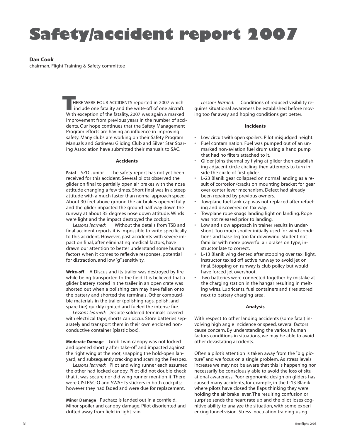# **Safety/accident report 2007**

### **Dan Cook**

chairman, Flight Training & Safety committee

HERE WERE FOUR ACCIDENTS reported in 2007 which include one fatality and the write-off of one aircraft. **THERE WERE FOUR ACCIDENTS reported in 2007 which include one fatality and the write-off of one aircraft.<br>With exception of the fatality, 2007 was again a marked** improvement from previous years in the number of accidents. Our hope continues that the Safety Management Program efforts are having an influence in improving safety. Many clubs are working on their Safety Program Manuals and Gatineau Gliding Club and Silver Star Soaring Association have submitted their manuals to SAC.

### **Accidents**

**Fatal** SZD Junior. The safety report has not yet been received for this accident. Several pilots observed the glider on final to partially open air brakes with the nose attitude changing a few times. Short final was in a steep attitude with a much faster than normal approach speed. About 30 feet above ground the air brakes opened fully and the glider impacted the ground half way down the runway at about 35 degrees nose down attitude. Winds were light and the impact destroyed the cockpit.

*Lessons learned:* Without the details from TSB and final accident reports it is impossible to write specifically to this accident. However, past accidents with severe impact on final, after eliminating medical factors, have drawn our attention to better understand some human factors when it comes to reflexive responses, potential for distraction, and low "g" sensitivity.

**Write-off** A Discus and its trailer was destroyed by fire while being transported to the field. It is believed that a glider battery stored in the trailer in an open crate was shorted out when a polishing can may have fallen onto the battery and shorted the terminals. Other combustible materials in the trailer (polishing rags, polish, and spare tire) quickly ignited and fueled the intense fire.

*Lessons learned:* Despite soldered terminals covered with electrical tape, shorts can occur. Store batteries separately and transport them in their own enclosed nonconductive container (plastic box).

**Moderate Damage** Grob Twin canopy was not locked and opened shortly after take-off and impacted against the right wing at the root, snapping the hold-open lanyard, and subsequently cracking and scarring the Perspex.

*Lessons learned:* Pilot and wing runner each assumed the other had locked canopy. Pilot did not double-check that it was secure nor did wing runner mention it. There were CISTRSC-O and SWAFTS stickers in both cockpits; however they had faded and were due for replacement.

**Minor Damage** Puchacz is landed out in a cornfield. Minor spoiler and canopy damage. Pilot disoriented and drifted away from field in light rain.

*Lessons learned:* Conditions of reduced visibility requires situational awareness be established before moving too far away and hoping conditions get better.

### **Incidents**

- Low circuit with open spoilers. Pilot misjudged height.
- Fuel contamination. Fuel was pumped out of an unmarked non-aviation fuel drum using a hand pump that had no filters attached to it.
- Glider joins thermal by flying at glider then establishing adjacent circle circling, then attempts to turn inside the circle of first glider.
- L-23 Blanik gear collapsed on normal landing as a result of corrosion/cracks on mounting bracket for gear over-center lever mechanism. Defect had already been repaired by previous owners.
- Towplane fuel tank cap was not replaced after refueling and discovered on taxiway.
- Towplane rope snags landing light on landing. Rope was not released prior to landing.
- Low and slow approach in trainer results in undershoot. Too much spoiler initially used for wind conditions and base leg too far downwind. Student not familiar with more powerful air brakes on type, instructor late to correct.
- L-13 Blanik wing dented after stopping over taxi light. Instructor taxied off active runway to avoid jet on final. Stopping on runway is club policy but would have forced jet overshoot.
- Two batteries were connected together by mistake at the charging station in the hangar resulting in melting wires. Lubricants, fuel containers and tires stored next to battery charging area.

### **Analysis**

With respect to other landing accidents (some fatal) involving high angle incidence or speed, several factors cause concern. By understanding the various human factors conditions in situations, we may be able to avoid other devastating accidents.

Often a pilot's attention is taken away from the "big picture" and we focus on a single problem. As stress levels increase we may not be aware that this is happening nor necessarily be consciously able to avoid the loss of situational awareness. Poor ergonomic design on gliders has caused many accidents, for example, in the L-13 Blanik where pilots have closed the flaps thinking they were holding the air brake lever. The resulting confusion or surprise sends the heart rate up and the pilot loses cognitive ability to analyze the situation, with some experiencing tunnel vision. Stress inoculation training using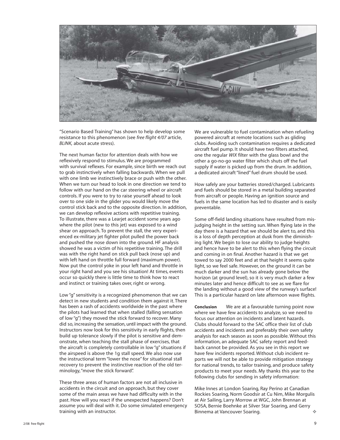

"Scenario Based Training" has shown to help develop some resistance to this phenomenon (see *free flight 4/07* article, *BLINK,* about acute stress).

The next human factor for attention deals with how we reflexively respond to stimulus. We are programmed with survival reflexes. For example, since birth we reach out to grab instinctively when falling backwards. When we pull with one limb we instinctively brace or push with the other. When we turn our head to look in one direction we tend to follow with our hand on the car steering wheel or aircraft controls. If you were to try to raise yourself ahead to look over to one side in the glider you would likely move the control stick back and to the opposite direction. In addition, we can develop reflexive actions with repetitive training. To illustrate, there was a Learjet accident some years ago where the pilot (new to this jet) was exposed to a wind shear on approach. To prevent the stall, the very experienced ex-military jet fighter pilot pulled the power back and pushed the nose down into the ground. HF analysis showed he was a victim of his repetitive training. The drill was with the right hand on stick pull back (nose up) and with left hand on throttle full forward (maximum power). Now put the control yoke in your left hand and throttle in your right hand and you see his situation! At times, events occur so quickly there is little time to think how to react and instinct or training takes over, right or wrong.

Low "g" sensitivity is a recognized phenomenon that we can detect in new students and condition them against it. There has been a rash of accidents worldwide in the past where the pilots had learned that when stalled (falling sensation of low "g") they moved the stick forward to recover. Many did so, increasing the sensation, until impact with the ground. Instructors now look for this sensitivity in early flights, then build up tolerance slowly if the pilot is sensitive and demonstrate, when teaching the stall phase of exercises, that the aircraft is completely controllable in low "g" situations if the airspeed is above the 1g stall speed. We also now use the instructional term "lower the nose" for situational stall recovery to prevent the instinctive reaction of the old terminology, "move the stick forward".

These three areas of human factors are not all inclusive in accidents in the circuit and on approach, but they cover some of the main areas we have had difficulty with in the past. How will you react if the unexpected happens? Don't assume you will deal with it. Do some simulated emergency training with an instructor.

We are vulnerable to fuel contamination when refueling powered aircraft at remote locations such as gliding clubs. Avoiding such contamination requires a dedicated aircraft fuel pump. It should have two filters attached, one the regular *WIX* filter with the glass bowl and the other a go-no-go water filter which shuts off the fuel supply if water is picked up from the drum. In addition, a dedicated aircraft "lined" fuel drum should be used.

How safely are your batteries stored/charged. Lubricants and fuels should be stored in a metal building separated from aircraft or people. Having an ignition source and fuels in the same location has led to disaster and is easily preventable.

Some off-field landing situations have resulted from misjudging height in the setting sun. When flying late in the day there is a hazard that we should be alert to, and this is a loss of depth perception at dusk from the diminishing light. We begin to lose our ability to judge heights and hence have to be alert to this when flying the circuit and coming in on final. Another hazard is that we get towed to say 2000 feet and at that height it seems quite light, so we feel safe. However, on the ground it can be much darker and the sun has already gone below the horizon (at ground level), so it is very much darker a few minutes later and hence difficult to see as we flare for the landing without a good view of the runway's surface! This is a particular hazard on late afternoon wave flights.

**Conclusion** We are at a favourable turning point now where we have few accidents to analyze, so we need to focus our attention on incidents and latent hazards. Clubs should forward to the SAC office their list of club accidents and incidents and preferably their own safety analysis for each season as soon as possible. Without this information, an adequate SAC safety report and feedback cannot be provided. As you see in this report we have few incidents reported. Without club incident reports we will not be able to provide mitigation strategy for national trends, to tailor training, and produce safety products to meet your needs. My thanks this year to the following clubs for sending in safety information:

Mike Innes at London Soaring, Ray Perino at Canadian Rockies Soaring, Norm Goodsir at Cu Nim, Mike Morgulis at Air Sailing, Larry Morrow at WGC, John Brennan at SOSA, Bernie Boehnke at Silver Star Soaring, and Gerry Binnema at Vancouver Soaring.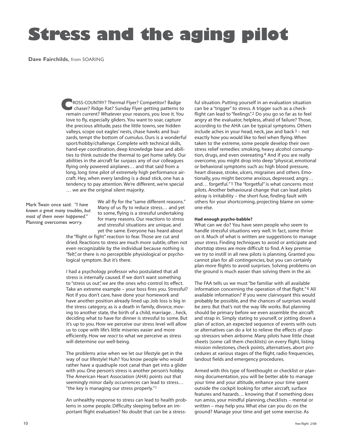# **Stress and the aging pilot**

**Dave Fairchilds**, from SOARING

ROSS-COUNTRY? Thermal Flyer? Competitor? Badge chaser? Ridge Rat? Sunday Flyer getting patterns to **COUNTRY?** Thermal Flyer? Competitor? Badge chaser? Ridge Rat? Sunday Flyer getting patterns to remain current? Whatever your reasons, you love it. You love to fly, especially gliders. You want to soar, capture the precious altitude, pass the little towns, see hidden valleys, scope out eagles' nests, chase hawks and buzzards, tempt the bottom of cumulus. Ours is a wonderful sport/hobby/challenge. Complete with technical skills, hand-eye coordination, deep knowledge base and abilities to think outside the thermal to get home safely. Our abilities in the aircraft far surpass any of our colleagues flying only powered airplanes… and that said from a long, long time pilot of extremely high performance aircraft. Hey, when every landing is a dead stick, one has a tendency to pay attention. We're different, we're special … we are the original silent majority.

Mark Twain once said: *"I have known a great many troubles, but most of them never happened."* Planning overcomes worry.

We all fly for the "same different reasons." Many of us fly to reduce stress… and yet to some, flying is a stressful undertaking for many reasons. Our reactions to stress and stressful situations are unique, and yet the same. Everyone has heard about

the "flight or fight" reaction to fear. Those are cut and dried. Reactions to stress are much more subtle, often not even recognizable by the individual because nothing is "felt", or there is no perceptible physiological or psychological symptom. But it's there.

I had a psychology professor who postulated that all stress is internally caused. If we don't want something to "stress us out", *we* are the ones who control its effect. Take an extreme example – your boss fires you. Stressful? Not if you don't care, have done your homework and have another position already lined up. Job loss is big in the stress category, as is a death in family, divorce, moving to another state, the birth of a child, marriage…heck, deciding what to have for dinner is stressful to some. But it's up to you. How we perceive our stress level will allow us to cope with life's little miseries easier and more efficiently. How we *react* to what we perceive as stress will determine our well-being.

The problems arise when we let our lifestyle get in the way of our lifestyle! Huh? You know people who would rather have a quadruple root canal than get into a glider with you. One person's stress is another person's hobby. The American Heart Association (AHA) points out that seemingly minor daily occurrences can lead to stress… "the key is managing our stress properly."1

An unhealthy response to stress can lead to health problems in some people. Difficulty sleeping before an important flight evaluation? No doubt that can be a stressful situation. Putting yourself in an evaluation situation can be a "trigger" to stress. A trigger such as a checkflight can lead to "feelings".<sup>2</sup> Do you go so far as to feel angry at the evaluator, helpless, afraid of failure? Those, according to the AHA can be typical symptoms. Others include aches in your head, neck, jaw and back  $3 - not$ exactly how you would like to feel when flying. When taken to the extreme, some people develop their own stress relief remedies: smoking, heavy alcohol consumption, drugs, and even overeating.4 And if you are really overcome, you might drop into deep "physical, emotional or behavioral symptoms such as: high blood pressure, heart disease, stroke, ulcers, migraines and others. Emotionally, you might become anxious, depressed, angry… and… forgetful." 5 The "forgetful" is what concerns most pilots. Another behavioural change that can lead pilots astray is irritability – the short fuse, finding fault with others for your shortcoming, projecting blame on someone else.

### **Had enough psycho-babble?**

What can we do? You have seen people who seem to handle stressful situations very well. In fact, some thrive on it. Much of what is written are suggestions to manage your stress. Finding techniques to avoid or anticipate and shortstop stress are more difficult to find. A key premise we try to instill in all new pilots is planning. Granted you cannot plan for all contingencies, but you can certainly plan more flights to avoid surprises. Solving problems on the ground is much easier than solving them in the air.

The FAA tells us we must "be familiar with all available information concerning the operation of that flight." 6 All available information? If you were clairvoyant this would probably be possible, and the chances of surprises would be zero. But that's not the way life works. But planning should be primary before we even assemble the aircraft and strap in. Simply stating to yourself, or jotting down a plan of action, an expected sequence of events with outs or alternatives can do a lot to relieve the effects of popup stressors when airborne. Many pilots have little cheat sheets (some call them checklists) on every flight, listing mission milestones, check points, alternatives, abort procedures at various stages of the flight, radio frequencies, landout fields and emergency procedures.

Armed with this type of forethought or checklist or planning documentation, you will be better able to manage your time and your altitude, enhance your time spent outside the cockpit looking for other aircraft, surface features and hazards… knowing that if something does run amiss, your mindful planning, checklists – mental or written – may help you. What else can you do on the ground? Manage your time and get some exercise. As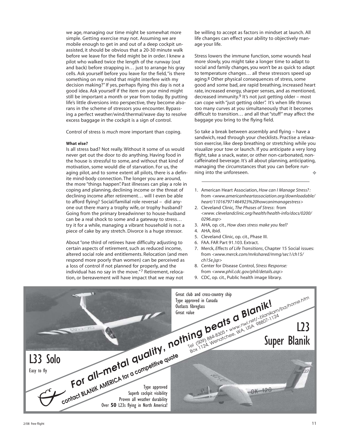we age, managing our time might be somewhat more simple. Getting exercise may not. Assuming we are mobile enough to get in and out of a deep cockpit unassisted, it should be obvious that a 20-30 minute walk before we leave for the field might be in order. I knew a pilot who walked twice the length of the runway (out and back) before strapping in… just to arrange his gray cells. Ask yourself before you leave for the field, "is there something on my mind that might interfere with my decision making?" If yes, perhaps flying this day is not a good idea. Ask yourself if the item on your mind might still be important a month or year from today. By putting life's little diversions into perspective, they become alsorans in the scheme of stressors you encounter. Bypassing a perfect weather/wind/thermal/wave day to resolve excess baggage in the cockpit is a sign of control.

Control of stress is *much* more important than coping.

### **What else?**

Is all stress bad? Not really. Without it some of us would never get out the door to do anything. Having food in the house is stressful to some, and without that kind of motivation, some would die of starvation. For us, the aging pilot, and to some extent all pilots, there is a definite mind-body connection. The longer you are around, the more "things happen". Past illnesses can play a role in coping and planning, declining income or the threat of declining income after retirement… will I even be able to afford flying? Social/familial role reversal – did anyone out there marry a trophy wife, or trophy husband? Going from the primary breadwinner to house-husband can be a real shock to some and a gateway to stress… try it for a while, managing a vibrant household is not a piece of cake by any stretch. Divorce is a huge stressor.

About "one third of retirees have difficulty adjusting to certain aspects of retirement, such as reduced income, altered social role and entitlements. Relocation (and men respond more poorly than women) can be perceived as a loss of control if not planned for properly, and the individual has no say in the move."7 Retirement, relocation, or bereavement will have impact that we may not

be willing to accept as factors in mindset at launch. All life changes can effect your ability to objectively manage your life.

Stress lowers the immune function, some wounds heal more slowly, you might take a longer time to adapt to social and family changes, you won't be as quick to adapt to temperature changes… all these stressors speed up aging.<sup>8</sup> Other physical consequences of stress, some good and some bad, are rapid breathing, increased heart rate, increased energy, sharper senses, and as mentioned, decreased immunity.9 It's not just getting older – most can cope with "just getting older". It's when life throws too many curves at you simultaneously that it becomes difficult to transition… and all that "stuff" may affect the baggage you bring to the flying field.

So take a break between assembly and flying – have a sandwich, read through your checklists. Practise a relaxation exercise, like deep breathing or stretching while you visualize your tow or launch. If you anticipate a very long flight, take a snack, water, or other non-carbonated, noncaffeinated beverage. It's all about planning, anticipating, managing the circumstances that you can before running into the unforeseen. d.

- 1. American Heart Association, *How can I Manage Stress?:* from *<www.americanheartassociation.org/downloadable/ heart/110167971464923%20howcanimanagestress>*
- 2. Cleveland Clinic, *The Phases of Stress*: from *<www. clevelandclinic.org/health/health-info/docs/0200/ 0296.asp>*
- 3. AHA, op. cit., *How does stress make you feel?*
- 4. AHA, ibid.
- 5. Cleveland Clinic, op. cit., Phase III.
- 6. FAA. FAR Part 91.103. Extract.
- 7. Merck, *Effects of Life Transitions*, Chapter 15 Social issues: from *<www.merck.com/mrkshared/mmg/sec1/ch15/ ch15e.jsp>*
- 8. Center for Disease Control, *Stress Response:* from *<www.phil.cdc.gov/phil/details.asp>*
- 9. CDC, op. cit., Public health image library.

| For all-metal quality, nothing beats a Blanik!                                                                     | Great club and cross-country ship<br>VIIIII 1909) 884-8305 - www.nwj.net/-blanikam/ba/home.htm |
|--------------------------------------------------------------------------------------------------------------------|------------------------------------------------------------------------------------------------|
| Contact BLANIK AMERICA for a competitive quote<br>L33 Solo<br>Easy to fly<br>Over 50 L23s flying in North America! |                                                                                                |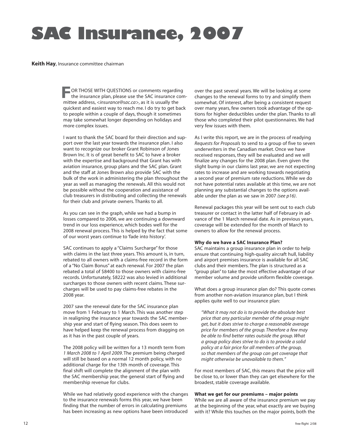# **SAC Insurance, 2007**

### **Keith Hay**, Insurance committee chairman

OR THOSE WITH QUESTIONS or comments regarding<br>the insurance plan, please use the SAC insurance comments of the set of the set of the set of the set of the set of the set of the set of the set of the set of the set of the s the insurance plan, please use the SAC insurance committee address, *<insurance@sac.ca>*, as it is usually the quickest and easiest way to reach me. I do try to get back to people within a couple of days, though it sometimes may take somewhat longer depending on holidays and more complex issues.

I want to thank the SAC board for their direction and support over the last year towards the insurance plan. I also want to recognize our broker Grant Robinson of Jones Brown Inc. It is of great benefit to SAC to have a broker with the expertise and background that Grant has with aviation insurance, group plans and the SAC plan. Grant and the staff at Jones Brown also provide SAC with the bulk of the work in administering the plan throughout the year as well as managing the renewals. All this would not be possible without the cooperation and assistance of club treasurers in distributing and collecting the renewals for their club and private owners. Thanks to all.

As you can see in the graph, while we had a bump in losses compared to 2006, we are continuing a downward trend in our loss experience, which bodes well for the 2008 renewal process. This is helped by the fact that some of our worst years continue to 'fade into history'.

SAC continues to apply a "Claims Surcharge" for those with claims in the last three years. This amount is, in turn, rebated to all owners with a claims-free record in the form of a "No Claim Bonus" at each renewal. For 2007 the plan rebated a total of \$8400 to those owners with claims-free records. Unfortunately, \$8222 was also levied in additional surcharges to those owners with recent claims. These surcharges will be used to pay claims-free rebates in the 2008 year.

2007 saw the renewal date for the SAC insurance plan move from 1 February to 1 March. This was another step in realigning the insurance year towards the SAC membership year and start of flying season. This does seem to have helped keep the renewal process from dragging on as it has in the past couple of years.

The 2008 policy will be written for a 13 month term from *1 March 2008 to 1 April 2009*. The premium being charged will still be based on a normal 12 month policy, with no additional charge for the 13th month of coverage. This final shift will complete the alignment of the plan with the SAC membership year, the general start of flying and membership revenue for clubs.

While we had relatively good experience with the changes to the insurance renewals forms this year, we have been finding that the number of errors in calculating premiums has been increasing as new options have been introduced

over the past several years. We will be looking at some changes to the renewal forms to try and simplify them somewhat. Of interest, after being a consistent request over many years, few owners took advantage of the options for higher deductibles under the plan. Thanks to all those who completed their pilot questionnaires. We had very few issues with them.

As I write this report, we are in the process of readying *Requests for Proposals* to send to a group of five to seven underwriters in the Canadian market. Once we have received responses, they will be evaluated and we will finalize any changes for the 2008 plan. Even given the slight bump in our claims last year, we are not expecting rates to increase and are working towards negotiating a second year of premium rate reductions. While we do not have potential rates available at this time, we are not planning any substantial changes to the options available under the plan as we saw in 2007 *(see p16)*.

Renewal packages this year will be sent out to each club treasurer or contact in the latter half of February in advance of the 1 March renewal date. As in previous years, coverage will be extended for the month of March to owners to allow for the renewal process.

### **Why do we have a SAC Insurance Plan?**

SAC maintains a group insurance plan in order to help ensure that continuing high-quality aircraft hull, liability and airport premises insurance is available for all SAC clubs and their members. The plan is structured as a "group plan" to take the most effective advantage of our member volume and provide uniform flexible coverage.

What does a group insurance plan do? This quote comes from another non-aviation insurance plan, but I think applies quite well to our insurance plan:

*"What it may not do is to provide the absolute best price that any particular member of the group might get, but it does strive to charge a reasonable average price for members of the group. Therefore a few may be able to find better rates outside the group. What a group policy does strive to do is to provide a solid policy at a fair price for all members of the group, so that members of the group can get coverage that might otherwise be unavailable to them."*

For most members of SAC, this means that the price will be close to, or lower than they can get elsewhere for the broadest, stable coverage available.

### **What we get for our premiums – major points**

While we are all aware of the insurance premium we pay at the beginning of the year, what exactly are we buying with it? While this touches on the major points, both the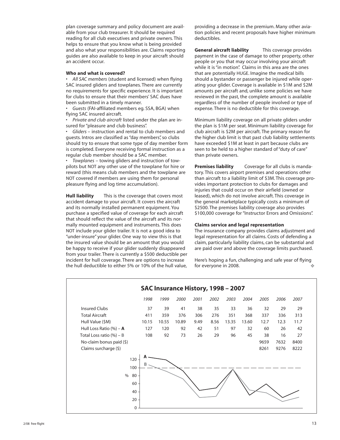plan coverage summary and policy document are available from your club treasurer. It should be required reading for all club executives and private owners. This helps to ensure that you know what is being provided and also what your responsibilities are. Claims reporting guides are also available to keep in your aircraft should an accident occur.

### **Who and what is covered?**

• *All SAC members* (student and licensed) when flying SAC insured gliders and towplanes. There are currently no requirements for specific experience. It is important for clubs to ensure that their members' SAC dues have been submitted in a timely manner.

• *Guests* (FAI-affiliated members eg. SSA, BGA) when flying SAC insured aircraft.

• *Private and club aircraft* listed under the plan are insured for "pleasure and club business".

• *Gliders* – instruction and rental to club members and guests. Intros are classified as "day members", so clubs should try to ensure that some type of day member form is completed. Everyone receiving formal instruction as a regular club member should be a SAC member.

• *Towplanes* – towing gliders and instruction of towpilots but NOT any other use of the towplane for hire or reward (this means club members and the towplane are NOT covered if members are using them for personal pleasure flying and log time accumulation).

**Hull liability** This is the coverage that covers most accident damage to your aircraft. It covers the aircraft and its normally installed permanent equipment. You purchase a specified value of coverage for each aircraft that should reflect the value of the aircraft and its normally mounted equipment and instruments. This does NOT include your glider trailer. It is not a good idea to "under-insure" your glider. One way to view this is that the insured value should be an amount that you would be happy to receive if your glider suddenly disappeared from your trailer. There is currently a \$500 deductible per incident for hull coverage. There are options to increase the hull deductible to either 5% or 10% of the hull value,

providing a decrease in the premium. Many other aviation policies and recent proposals have higher minimum deductibles.

**General aircraft liability** This coverage provides payment in the case of damage to other property, other people or you that may occur involving your aircraft while it is "in motion". Claims in this area are the ones that are potentially HUGE. Imagine the medical bills should a bystander or passenger be injured while operating your glider. Coverage is available in \$1M and \$2M amounts per aircraft and, unlike some policies we have reviewed in the past, the complete amount is available regardless of the number of people involved or type of expense. There is no deductible for this coverage.

Minimum liability coverage on all private gliders under the plan is \$1M per seat. Minimum liability coverage for club aircraft is \$2M per aircraft. The primary reason for the higher club limit is that past club liability settlements have exceeded \$1M at least in part because clubs are seen to be held to a higher standard of "duty of care" than private owners.

**Premises liability** Coverage for all clubs is mandatory. This covers airport premises and operations other than aircraft to a liability limit of \$3M. This coverage provides important protection to clubs for damages and injuries that could occur on their airfield (owned or leased), which do not involve aircraft. This coverage in the general marketplace typically costs a minimum of \$2500. The premises liability coverage also provides \$100,000 coverage for "Instructor Errors and Omissions".

### **Claims service and legal representation**

The insurance company provides claims adjustment and legal representation for all claims. Costs of defending a claim, particularly liability claims, can be substantial and are paid over and above the coverage limits purchased.

Here's hoping a fun, challenging and safe year of flying for everyone in 2008.

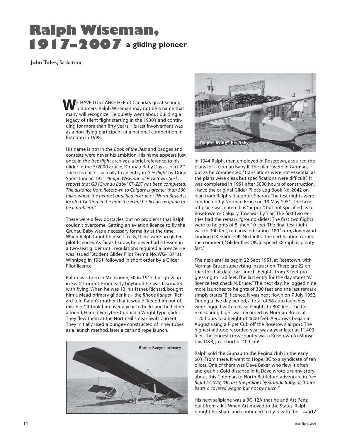# **Ralph Wiseman, 1917–2007 a gliding pioneer**

 **John Toles,** Saskatoon

 E HAVE LOST ANOTHER of Canada's great soaring **WE HAVE LOST ANOTHER of Canada's great soaring of UK of Canada's great soaring** many will recognize. He quietly went about building a legacy of silent flight starting in the 1930's and continuing for more than fifty years. His last involvement was as a non-flying participant at a national competition in Brandon in 1998.

His name is not in the *Book of the Best* and badges and contests were never his ambition. His name appears just once in the *free flight* archives, a brief reference to his glider in the 5/2000 article, "Grunau Baby Days – part 2." The reference is actually to an entry in *free flight* by Doug Shenstone in 1951: *"Ralph Wiseman of Rosetown, Sask. reports that GB [Grunau Baby] CF-ZBT has been completed. The distance from Rosetown to Calgary is greater than 300 miles where the nearest qualified instructor (Norm Bruce) is located. Getting in the time to secure his licence is going to be a problem."*

There were a few obstacles, but no problems that Ralph couldn't overcome. Getting an aviation licence to fly the Grunau Baby was a necessary formality at the time. When Ralph taught himself to fly, there were no glider pilot licences. As far as I know, he never had a lesson in a two-seat glider until regulations required a licence. He was issued "Student Glider Pilot Permit No. WG-187" at Winnipeg in 1961, followed in short order by a Glider Pilot licence.

Ralph was born in Moosomin, SK in 1917, but grew up in Swift Current. From early boyhood he was fascinated with flying. When he was 13, his father, Richard, bought him a Mead primary glider kit – the *Rhone Ranger*. Richard told Ralph's mother that it would "keep him out of mischief". It took him over a year to build, and he helped a friend, Harold Forsythe, to build a Wright type glider. They flew them at the North Hills near Swift Current. They initially used a bungee constructed of inner tubes as a launch method, later a car and rope launch.





In 1944 Ralph, then employed in Rosetown, acquired the plans for a Grunau Baby ll. The plans were in German, but as he commented, "translations were not essential as the plans were clear, but specifications were difficult". It was completed in 1951 after 5000 hours of construction. I have the original Glider Pilot's Log Book No. 2042 on loan from Ralph's daughter, Sharon. The test flights were conducted by Norman Bruce on 19 May 1951. The takeoff place was entered as "airport", but not specified as to Rosetown or Calgary. Tow was by "car". The first two entries had the remark, "ground slides". The first two flights were to heights of 5, then 10 feet. The final test flight was to 300 feet, remarks indicating "180° turn, downwind landing OK. Glider OK. No faults". The certification carried the comment, "Glider flies OK, airspeed 38 mph is plenty fast."

The next entries begin 22 Sept 1951, at Rosetown, with Norman Bruce supervising instruction. There are 22 entries for that date, car launch, heights from 5 feet progressing to 120 feet. The last entry for the day states "A" licence test check N. Bruce." The next day, he logged nine more launches to heights of 300 feet and the last remark simply states "B" licence. It was next flown on 7 July 1952. During a five day period, a total of 68 auto launches were logged with release heights to 800 feet. The first real soaring flight was recorded by Norman Bruce at 1:20 hours to a height of 4600 feet. Aerotows began in August using a Piper Cub off the Rosetown airport. The highest altitude recorded year was a year later at 11,400 feet. The longest cross-country was a Rosetown to Moose Jaw O&R, just short of 400 km!

Ralph sold the Grunau to the Regina club in the early 60's. From there, it went to Hope, BC to a syndicate of ten pilots. One of them was Dave Baker, who flew it often and got his Gold distance in it. Dave wrote a funny story about this Chipman to North Battleford adventure in *free flight 5/1979, "Across the prairies by Grunau Baby, or, it sure beats a covered wagon but not by much."*

His next sailplane was a BG-12A that he and Art Penz built from a kit. When Art moved to the States, Ralph bought his share and continued to fly it with the **p17**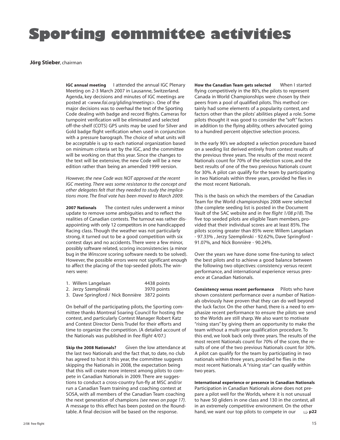# **Sporting committee activities**

### **Jörg Stieber**, chairman

**IGC annual meeting** I attended the annual IGC Plenary Meeting on 2-3 March 2007 in Lausanne, Switzerland. Agenda, key decisions and minutes of IGC meetings are posted at *<www.fai.org/gliding/meetings>.* One of the major decisions was to overhaul the text of the Sporting Code dealing with badge and record flights. Cameras for turnpoint verification will be eliminated and selected off-the-shelf (COTS) GPS units may be used for Silver and Gold badge flight verification when used in conjunction with a pressure barograph. The choice of what units will be acceptable is up to each national organization based on minimum criteria set by the IGC, and the committee will be working on that this year. Since the changes to the text will be extensive, the new Code will be a new edition rather than being an amended 1999 version.

*However, the new Code was NOT approved at the recent IGC meeting. There was some resistance to the concept and other delegates felt that they needed to study the implications more. The final vote has been moved to March 2009.*

**2007 Nationals** The contest rules underwent a minor update to remove some ambiguities and to reflect the realities of Canadian contests. The turnout was rather disappointing with only 12 competitors in one handicapped Racing class. Though the weather was not particularly strong, it turned out to be a good competition with six contest days and no accidents. There were a few minor, possibly software related, scoring inconsistencies (a minor bug in the *Winscore* scoring software needs to be solved). However, the possible errors were not significant enough to affect the placing of the top-seeded pilots. The winners were:

| 1. Willem Langelaan                            | 4438 points |
|------------------------------------------------|-------------|
| 2. Jerzy Szemplinski                           | 3970 points |
| 3. Dave Springford / Nick Bonnière 3872 points |             |

On behalf of the participating pilots, the Sporting committee thanks Montreal Soaring Council for hosting the contest, and particularly Contest Manager Robert Katz and Contest Director Denis Trudel for their efforts and time to organize the competition. (A detailed account of the Nationals was published in *free flight* 4/07.)

**Skip the 2008 Nationals?** Given the low attendance at the last two Nationals and the fact that, to date, no club has agreed to host it this year, the committee suggests skipping the Nationals in 2008, the expectation being that this will create more interest among pilots to compete in Canadian Nationals in 2009. There are suggestions to conduct a cross-country fun-fly at MSC and/or run a Canadian Team training and coaching contest at SOSA, with all members of the Canadian Team coaching the next generation of champions *(see news on page 17)*. A message to this effect has been posted on the Roundtable. A final decision will be based on the response.

**How the Canadian Team gets selected** When I started flying competitively in the 80's, the pilots to represent Canada in World Championships were chosen by their peers from a pool of qualified pilots. This method certainly had some elements of a popularity contest, and factors other than the pilots' abilities played a role. Some pilots thought it was good to consider the "soft" factors in addition to the flying ability, others advocated going to a hundred percent objective selection process.

In the early 90's we adopted a selection procedure based on a seeding list derived entirely from contest results of the previous three years. The results of the most recent Nationals count for 70% of the selection score, and the best results of one of the two previous Nationals count for 30%. A pilot can qualify for the team by participating in two Nationals within three years, provided he flies in the most recent Nationals.

This is the basis on which the members of the Canadian Team for the World championships 2008 were selected (the complete seeding list is posted in the Document Vault of the SAC website and in *free flight 1/08 p18*). The five top seeded pilots are eligible Team members, provided that their individual scores are at least 85%. The pilots scoring greater than 85% were: Willem Langelaan - 97.33% , Jerzy Szemplinski - 92.62%, Dave Springford - 91.07%, and Nick Bonnière - 90.24%.

Over the years we have done some fine-tuning to select the best pilots and to achieve a good balance between the following two objectives: consistency versus recent performance, and international experience versus presence at Canadian Nationals.

**Consistency versus recent performance** Pilots who have shown consistent performance over a number of Nationals obviously have proven that they can do well beyond the luck factor. On the other hand, there is a need to emphasize recent performance to ensure the pilots we send to the Worlds are still sharp. We also want to motivate "rising stars" by giving them an opportunity to make the team without a multi-year qualification procedure. To this end, we look back only three years. The results of the most recent Nationals count for 70% of the score, the results of one of the two previous Nationals count for 30%. A pilot can qualify for the team by participating in two nationals within three years, provided he flies in the most recent Nationals. A "rising star" can qualify within two years.

**International experience or presence in Canadian Nationals** Participation in Canadian Nationals alone does not prepare a pilot well for the Worlds, where it is not unusual to have 50 gliders in one class and 130 in the contest, all in an extremely competitive environment. On the other hand, we want our top pilots to compete in our  $\Rightarrow$  **p22**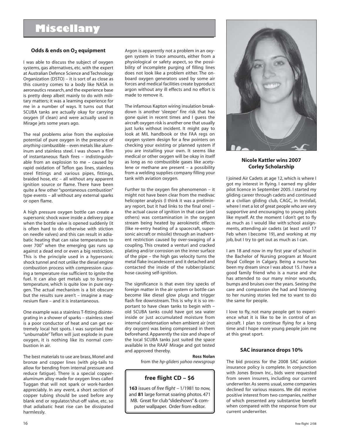# **Miscellany**

### **Odds & ends on O2 equipment**

I was able to discuss the subject of oxygen systems, gas alternatives, etc. with the expert at Australian Defence Science and Technology Organization (DSTO) – it is sort of as close as this country comes to a body like NASA in aeronautics research, and the experience base is pretty deep albeit mainly to do with military matters; it was a learning experience for me in a number of ways. It turns out that SCUBA tanks are actually okay for carrying oxygen (if clean) and were actually used in Mirage jets some years ago.

The real problems arise from the explosive potential of pure oxygen in the presence of *anything* combustible – even metals like aluminum and stainless steel. I was shown a film of instantaneous flash fires – indistinguishable from an explosion to me – caused by rapid oxidation of Teflon gas lines, stainless steel fittings and various pipes, fittings, braided hose, etc – all without any apparent ignition source or flame. There have been quite a few other "spontaneous combustion" type events – all without any external sparks or open flame.

A high pressure oxygen bottle can create a supersonic shock wave inside a delivery pipe when the bottle valve is opened suddenly (it is often hard to do otherwise with stiction on needle valves) and this can result in adiabatic heating that can raise temperatures to over 700° when the emerging gas runs up against a dead end or even a big restriction. This is the principle used in a hypersonic shock tunnel and not unlike the diesel engine combustion process with compression causing a temperature rise sufficient to ignite the fuel. It can also get metals up to burning temperature, which is quite low in pure oxygen. The actual mechanism is a bit obscure but the results sure aren't – imagine a magnesium flare – and it is instantaneous.

One example was a stainless T-fitting disintegrating in a shower of sparks – stainless steel is a poor conductor of heat and can get extremely local hot spots. I was surprised that "unburnable" Teflon will just explode in pure oxygen, it is nothing like its normal combustion in air.

The best materials to use are brass, Monel and bronze and copper lines (with pig-tails to allow for bending from internal pressure and reduce fatigue). There is a special copperaluminum alloy made for oxygen lines called Tuggan that will not spark or work-harden appreciably. In any event, a short section of copper tubing should be used before any blank end or regulator/shut-off valve, etc. so that adiabatic heat rise can be dissipated harmlessly.

Argon is apparently not a problem in an oxygen system in trace amounts, either from a physiological or safety aspect, so the possibility of incomplete purging of filling lines does not look like a problem either. The onboard oxygen generators used by some air forces and medical facilities create byproduct argon without any ill effects and no effort is made to remove it.

The infamous Kapton wiring insulation breakdown is another 'sleeper' fire risk that has gone quiet in recent times and I guess the aircraft oxygen risk is another one that usually just lurks without incident. It might pay to look at MIL handbook or the FAA regs on oxygen system design for a few pointers on checking your existing or planned system if you are installing your own. It seems like medical or other oxygen will be okay in itself as long as no combustible gases like acetylene or methane are present – a possibility from a welding supplies company filling your tank with aviation oxygen.

Further to the oxygen fire phenomenon – it might not have been clear from the medivac helicopter analysis (I think it was a preliminary report, but it had links to the final one) – the actual cause of ignition in that case (and others) was contamination in the oxygen stream being heated by aerokinetic effects (like re-entry heating of a spacecraft, supersonic aircraft or missile) through an inadvertent restriction caused by over-swaging of a coupling. This created a venturi and cracked plating and/or corrosion on the inner surface of the pipe – the high gas velocity turns the metal flake incandescent and it detached and contacted the inside of the rubber/plastic hose causing self-ignition.

The significance is that even tiny specks of foreign matter in the air system or bottle can become like diesel glow plugs and trigger flash fire downstream. This is why it is so important to have clean tanks to begin with – old SCUBA tanks could have got sea water inside or just accumulated moisture from internal condensation when ambient air (not dry oxygen) was being compressed in them beforehand. Apparently the size and shape of the local SCUBA tanks just suited the space available in the RAAF Mirage and got tested and approved thereby.

### **Ross Nolan**

from the *hp-gliders yahoo newsgroup*

### **free flight CD – \$6**

**163** issues of *free flight* – 1/1981 to now, and **81** large format soaring photos. 471 MB. Great for club "slideshows" & computer wallpaper. Order from editor.



### **Nicole Kattler wins 2007 Corley Scholarship**

I joined Air Cadets at age 12, which is where I got my interest in flying. I earned my glider pilot licence in September 2005. I started my gliding career through cadets and continued at a civilian gliding club, CAGC, in Innisfail, where I met a lot of great people who are very supportive and encouraging to young pilots like myself. At the moment I don't get to fly as much as I would like with school assignments, attending air cadets (at least until 17 Feb when I become 19), and working at my job, but I try to get out as much as I can.

I am 18 and now in my first year of school in the Bachelor of Nursing program at Mount Royal College in Calgary. Being a nurse has been my dream since I was about 15. I have a good family friend who is a nurse and she has attended to our many minor wounds, bumps and bruises over the years. Seeing the care and compassion she had and listening to her nursing stories led me to want to do the same for people.

I love to fly, not many people get to experience what it is like to be in control of an aircraft. I plan to continue flying for a long time and I hope more young people join me at this great sport.

### **SAC insurance drops 10%**

The bid process for the 2008 SAC aviation insurance policy is complete. In conjunction with Jones Brown Inc., bids were requested from seven insurers, including our current underwriter. As seems usual, some companies declined for various reasons. We did receive positive interest from two companies, neither of which presented any substantive benefit when compared with the response from our current underwriter.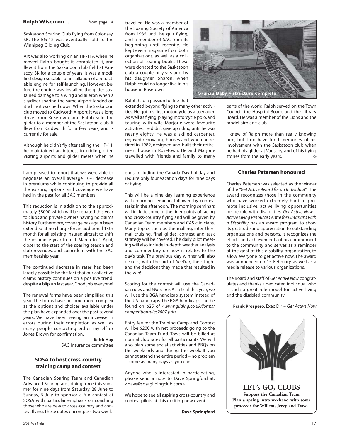### **Ralph Wiseman ...** from page 14

Saskatoon Soaring Club flying from Colonsay, SK. The BG-12 was eventually sold to the Winnipeg Gliding Club.

Art was also working on an HP-11A when he moved. Ralph bought it, completed it, and flew it from the Saskatoon club field at Vanscoy, SK for a couple of years. It was a modified design suitable for installation of a retractable engine for self-launching. However, before the engine was installed, the glider sustained damage to a wing and aileron when a skydiver sharing the same airport landed on it while it was tied down. When the Saskatoon club moved to Cudworth Airport, it was a long drive from Rosetown, and Ralph sold the glider to a member of the Saskatoon club. It flew from Cudworth for a few years, and is currently for sale.

Although he didn't fly after selling the HP-11, he maintained an interest in gliding, often visiting airports and glider meets when he

I am pleased to report that we were able to negotiate an overall average 10% decrease in premiums while continuing to provide all the existing options and coverage we have had in the past for all SAC members.

This reduction is in addition to the approximately \$8000 which will be rebated this year to clubs and private owners having no claims history. Furthermore, coverage has again been extended at no charge for an additional 13th month for all existing insured aircraft to shift the insurance year from 1 March to 1 April, closer to the start of the soaring season and club revenues, and coincident with the SAC membership year.

The continued decrease in rates has been largely possible by the fact that our collective claims history continues on a positive trend, despite a blip up last year. Good job everyone!

The renewal forms have been simplified this year. The forms have become more complex as the options and choices available under the plan have expanded over the past several years. We have been seeing an increase in errors during their completion as well as many people contacting either myself or Jones Brown for confirmation.

> **Keith Hay** SAC Insurance committee

### **SOSA to host cross-country training camp and contest**

The Canadian Soaring Team and Canadian Advanced Soaring are joining force this summer for nine days from Saturday, 28 June to Sunday, 6 July to sponsor a fun contest at SOSA with particular emphasis on coaching those who are new to cross-country and contest flying. These dates encompass two weektravelled. He was a member of the Soaring Society of America from 1935 until he quit flying, and a member of SAC from its beginning until recently. He kept every magazine from both organizations, as well as a collection of soaring books. These were donated to the Saskatoon club a couple of years ago by his daughter, Sharon, when Ralph could no longer live in his house in Rosetown.

Ralph had a passion for life that

extended beyond flying to many other activities. He got his first motorcycle as a teenager. As well as flying, playing motorcycle polo, and touring with wife Marjorie were favourite activities. He didn't give up riding until he was nearly eighty. He was a skilled carpenter, enjoyed renovating houses and, when he retired in 1982, designed and built their retirement house in Rosetown. He and Marjorie travelled with friends and family to many

ends, including the Canada Day holiday and require only four vacation days for nine days of flying!

This will be a nine day learning experience with morning seminars followed by contest tasks in the afternoon. The morning seminars will include some of the finer points of racing and cross-country flying and will be given by Canadian Team members and CAS clinicians. Many topics such as thermalling, inter-thermal cruising, final glides, contest and task strategy will be covered. The daily pilot meeting will also include in-depth weather analysis and commentary on how it relates to the day's task. The previous day winner will also discuss, with the aid of *SeeYou*, their flight and the decisions they made that resulted in the win!

Scoring for the contest will use the Canadian rules and *Winscore*. As a trial this year, we will use the BGA handicap system instead of the US handicaps. The BGA handicaps can be found on p25 of *<www.gliding.co.uk/forms/ competitionrules2007.pdf*>.

Entry fee for the Training Camp and Contest will be \$200 with net proceeds going to the Canadian Team Fund. Tows will be billed at normal club rates for all participants. We will also plan some social activities and BBQs on the weekends and during the week. If you cannot attend the entire period – no problem – come as many days as you can.

Anyone who is interested in participating, please send a note to Dave Springford at: <dave@sosaglidingclub.com>

We hope to see all aspiring cross-country and contest pilots at this exciting new event!

**Dave Springford**



parts of the world. Ralph served on the Town Council, the Hospital Board, and the Library Board. He was a member of the Lions and the model airplane club.

I knew of Ralph more than really knowing him, but I do have fond memories of his involvement with the Saskatoon club when he had his glider at Vanscoy, and of his flying stories from the early years.

### **Charles Petersen honoured**

Charles Petersen was selected as the winner of the *"Get Active Award for an Individual"*. The award recognizes those in the community who have worked extremely hard to promote inclusive, active living opportunities for people with disabilities. *Get Active Now – Active Living Resource Centre for Ontarians with a Disability* has an award program to show its gratitude and appreciation to outstanding organizations and persons. It recognizes the efforts and achievements of his commitment to the community and serves as a reminder of the goal of this disability organization, to allow everyone to get active now. The award was announced on 15 February, as well as a media release to various organizations.

The Board and staff of *Get Active Now* congratulates and thanks a dedicated individual who is such a great role model for active living and the disabled community.

**Frank Prospero**, Exec Dir – *Get Active Now*

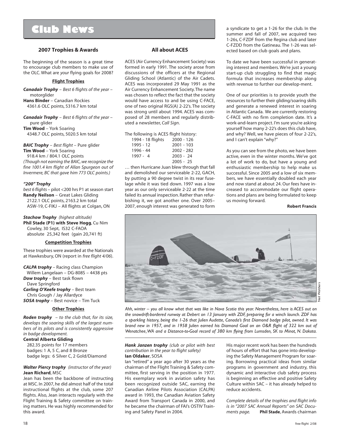# **Club News**

### **2007 Trophies & Awards**

The beginning of the season is a great time to encourage club members to make use of the OLC. What are *your* flying goals for 2008?

### **Flight Trophies**

*Canadair Trophy* – *Best 6 flights of the year* – motorglider

**Hans Binder** – Canadian Rockies 4361.6 OLC points, 5316.7 km total

*Canadair Trophy* – *Best 6 flights of the year* – pure glider **Tim Wood** – York Soaring 4348.7 OLC points, 5020.5 km total

*BAIC Trophy – Best flight – Pure glider* **Tim Wood** – York Soaring 918.4 km / 804.1 OLC points *(Though not earning the BAIC, we recognize the fine 1001.4 km flight of Allan Spurgeon out of Invermere, BC that gave him 773 OLC points.)*

### *"200" Trophy*

*best 6 flights* – pilot <200 hrs P1 at season start **Randy Neilson** – Great Lakes Gliding 2122.1 OLC points, 2163.2 km total ASW-19, C-FIKJ – All flights at Colgan, ON

*Stachow Trophy (highest altitude)* **Phil Stade (P1) with Steve Hogg**, Cu Nim Cowley, 30 Sept, IS32 C-FAOA absolute 25,342 feet (gain 20,741 ft)

### **Competition Trophies**

These trophies were awarded at the Nationals at Hawkesbury, ON (report in *free flight 4/06*).

*CALPA trophy* – Racing class Champion

 Willem Langelaan – DG-808S – 4438 pts *Dow trophy* – Best task flown Dave Springford *Carling O'Keefe trophy* – Best team

 Chris Gough / Jay Allardyce *SOSA trophy* – Best novice – Tim Tuck

### **Other Trophies**

*Roden trophy – to the club that, for its size, develops the soaring skills of the largest numbers of its pilots and is consistently aggressive in badge development.*

### **Central Alberta Gliding**

 282.35 points for 17 members badges: 1 A, 5 C, and 8 Bronze badge legs: 6 Silver C, 2 Gold/Diamond

### *Walter Piercy trophy (instructor of the year)* **Jean Richard**, MSC

Jean has been the backbone of instructing at MSC. In 2007, he did almost half of the total instructional flights at the club, some 207 flights. Also, Jean interacts regularly with the Flight Training & Safety committee on training matters. He was highly recommended for this award.

### **All about ACES**

ACES (Air Currency Enhancement Society) was formed in early 1991. The society arose from discussions of the officers at the Regional Gliding School (Atlantic) of the Air Cadets. ACES was incorporated 29 May 1991 as the Air Currency Enhancement Society. The name was chosen to reflect the fact that the society would have access to and be using C-FACE, one of two original RGS(A) 2-22's. The society was strong until about 1994. ACES was composed of 28 members and regularly distributed a newsletter, *Call Sign*.

| The following is ACES flight history: |            |
|---------------------------------------|------------|
| 1994 - 18 flights                     | 2000 - 126 |

|            | -----        |  |
|------------|--------------|--|
| 1995 - 12  | $2001 - 103$ |  |
| 1996 - 44  | $2002 - 282$ |  |
| $1997 - 4$ | $2003 - 24$  |  |
|            | $2005 - 25$  |  |

… then Hurricane Juan blew through that fall and demolished our serviceable 2-22, GACH, by putting a 90 degree twist in its rear fuselage while it was tied down. 1997 was a low year as our only serviceable 2-22 at the time failed its annual inspection. Rather than refurbishing it, we got another one. Over 2005– 2007, enough interest was generated to form

a syndicate to get a 1-26 for the club. In the summer and fall of 2007, we acquired two 1-26s, C-FZDF from the Regina club and later C-FZDD from the Gatineau. The 1-26 was selected based on club goals and plans.

To date we have been successful in generating interest and members. We're just a young start-up club struggling to find that magic formula that increases membership along with revenue to further our develop-ment.

One of our priorities is to provide youth the resources to further their gliding/soaring skills and generate a renewed interest in soaring in Atlantic Canada. We are currently restoring C-FACE with no firm completion date. It's a work-and-learn project. I'm sure you're asking yourself how many 2-22's does this club have, and why? Well, we have pieces of four 2-22's, and I can't explain "why?"

As you can see from the photo, we have been active, even in the winter months. We've got a lot of work to do, but have a young and enthusiastic membership to help make us successful. Since 2005 and a low of six members, we have essentially doubled each year and now stand at about 24. Our fees have increased to accommodate our flight operations and plans are being formulated to keep us moving forward.

**Robert Francis**



*Ahh, winter – you all know what that was like in Nova Scotia this year. Nevertheless, here is ACES out on the snowdrift-bordered runway at Debert on 13 January with ZDF, preparing for a winch launch. ZDF has a sparkling history, being the 1-26 that Julien Audette, Canada's first Diamond badge pilot, owned. It was brand new in 1957, and in 1958 Julien earned his Diamond Goal on an O&R flight of 322 km out of Wenatchee, WA and a Distance-to-Goal record of 380 km flying from Lumsden, SK to Minot, N. Dakota.*

### *Hank Janzen trophy (club or pilot with best contribution in the year to flight safety)* **Ian Oldaker**, SOSA

Ian "retired" a year ago after 30 years as the chairman of the Flight Training & Safety committee, first serving in the position in 1977. His exemplary work in aviation safety has been recognized outside SAC, earning the Canadian Airline Pilots Association (CALPA) award in 1993, the Canadian Aviation Safety Award from Transport Canada in 2000, and he became the chairman of FAI's OSTIV Training and Safety Panel in 2004.

His major recent work has been the hundreds of hours of effort that has gone into developing the Safety Management Program for soaring. Borrowing practical ideas from similar programs in government and industry, this dynamic and interactive club safety process is beginning an effective and positive Safety Culture within SAC – it has already helped to reduce accidents.

*Complete details of the trophies and flight info is in "2007 SAC Annual Reports" on SAC Documents page.* **Phil Stade**, Awards chairman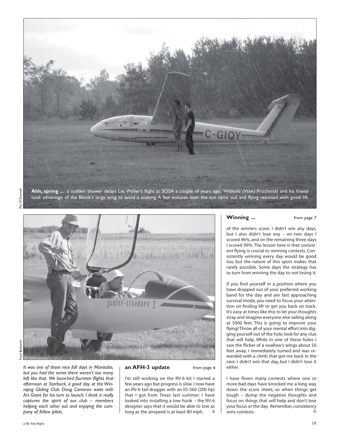



*It was one of those nice fall days in Manitoba, | an AFH-3 update from page 6 but you had the sense there weren't too many left like that. We launched fourteen flights that afternoon at Starbuck, a good day at the Winnipeg Gliding Club. Doug Cameron waits with Art Grant for his turn to launch. I think it really captures the spirit of our club – members helping each other out and enjoying the company of fellow pilots.*

I'm still working on the RV-6 kit I started a few years ago but progress is slow. I now have an RV-6 tail-dragger with an IO-360 (200 hp) that I got from Texas last summer. I have looked into installing a tow hook – the RV-6 designer says that it would be able to tow as long as the airspeed is at least 80 mph.

### **Winning ... From page 7**

of the winners score. I didn't win any days, but I also didn't lose any – on two days I scored 96%, and on the remaining three days I scored 99%. The lesson here is that consistent flying is crucial to winning contests. Consistently winning every day would be good too, but the nature of this sport makes that rarely possible. Some days the strategy has to turn from winning the day to not losing it.

If you find yourself in a position where you have dropped out of your preferred working band for the day and are fast approaching survival mode, you need to focus your attention on finding lift to get you back on track. It's easy at times like this to let your thoughts stray and imagine everyone else sailing along at 5000 feet. This is going to improve your flying! Throw all of your mental effort into digging yourself out of the hole, look for any clue that will help. While in one of these holes I saw the flicker of a swallow's wings about 50 feet away. I immediately turned and was rewarded with a climb that got me back in the race. I didn't win that day, but I didn't lose it either.

I have flown many contests where one or more bad days have knocked me a long way down the score sheet, so when things get tough – dump the negative thoughts and focus on things that will help and don't lose your focus or the day. Remember, consistency wins contests.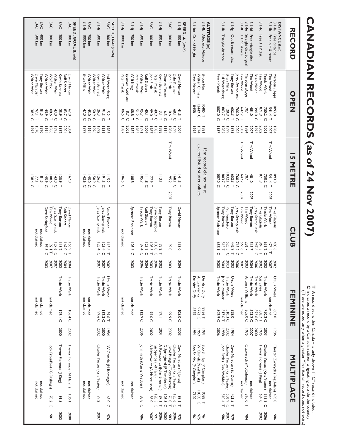# free flight 2/08 **CANADIAN RECORDS (as of 24 Nov 2007) T** A record set within Canada – is only shown if "C" record included. **C** indicates a record by a Canadian citizen originating outside the country. (These are noted only when a greater "Territorial" record does not exist.) **DISTANCE RECORD OPEN 15 METRE CLUB FEMININE MULTIPLACE** (km) 3.1.4a Free distance Marsden / Apps 1093.0 1984 1093.0 Mike Glatiotis 480.6 2002 Ursula Wiese 607.0 1986 Chester Zwarych (Reg Adam) 495.0 1986 3.1.4b Free out & return Tim Wood 541.4 T 2007 Tim Wood 541.4 T 2007 Tim Wood 476.4 T 2007 not claimed not claimed Tracie Wark 750.2 C 2003 750.2 C Tracie Wark 633.2 C 2003 Tracie Wark 750.2 C 2003 Charles Yeates (Kris Yeates) 313.8 C 2006 3.1.4c Free 3 TP dist. Tim Wood 871.9 T 2002 871.9 Mike Glatiotis 869.3 T 2002 Sue Eaves 508.7 T 1995 Trevor Florence (J King) 689.0 2002 Brian Milner 1394.0 C 1993 Jerzy Szemplinski 947.6 C 2006 Tracie Wark 592.6 C 2000 3.1.4e Straight dist. to goal 3.1.4d Free triangle dist. Tim Wood 481.0 2007 Tim Wood 481.0 2007 Tony Burton 515.7 2004 Tracie Wark 523.2 C 2007 not claimed Marsden /Apps 707 1984 707 Tim Wood 236.7 2003 Antonia Williams 305.0 C 1975 C Zwarych (McColeman) 310.0 T 1984 3.1.4f 3 TP distance Tim Wood 642.7 T 2007 Tim Wood 642.7 T 2007 Tim Wood 565.6 T 2007 not claimed not claimed Jerzy Szemplinski 760.0 C 2006 760.0 C Jerzy Szemplinski 715.2 C 2006 3.1.4g Out & return dist. Tony Burton 652.3 T 1993 652.3 T Tony Burton 442.9 T 2003 Ursula Wiese 328.0 1984 Dave Marsden (Ed Dumas) 421.5 T 1979 Brian Milner 1128.9 C 1999 1032.1 C Pat Templeton 525.5 C 2003 Tracie Wark 510.3 C 2002 Charles Yeates (Kris Yeates) 506.9 C 2007 3.1.4h Triangle distance Hal Werneburg 803.7 T 1982 803.7 T Tony Burton 515.7 2004 Jane Midwinter 317.6 T 1988 John Firth ( Dan Webber) 510.4 T 1986 Peter Masak 1007.0 C 1987 1007.0 C Spencer Robinson 655.9 C 2003 Tracie Wark 502.9 C 2006 **ALTITUDE** (m) 3.1.4k Absolute Altitude Bruce Hea 10485 T 1981 Deirdre Duffy 8986 T 1991 Bob Shirley (P Campbell) 9083 T 1961 Walter Chmela 12449 C 1974 A. Cservenka 9772 C 1969 W Chmela (VanMaurik) 10390 C 1975 3.1.4m Gain of Height Dave Mercer 8458 1995 Deirdre Duffy 6575 1991 Bob Shirley (P Campbell) 7102 1961 **SPEED,**  (km/h) 3.1.4j 100 km David Mercer 141.5 T 2004 141.5 T David Mercer 133.0 2004 Tracie Wark 105.0 C 2003 Dave Marsden (M Jones) 98.1 T 1975 Dale Kramer 168.1 C 1999 168.1 C Charles Yeates (Kris Yeates) 125.6 C 2006 SAC 200 km John Firth 110.6 T 1984 Tim Wood 95.2 2007 Tony Burton 99.0 2003 Tracie Wark 99.9 C 2002 Lloyd Bungey (Tony Burton) 76.0 T 1983 Charles Yeates 116.3 C 1994 D Springford (P Templeton) 108.5 C 2002 3.1.4j 300 km Kevin Bennett 113.1 T 1988 113.1 Tony Burton 78.2 T 2002 Tracie Wark 99.1 2001 A Kawzowicz (John Brennan) 87.1 T 2006 Peter Masak 148.9 C 1985 Dave Springford 108.0 C 2006 Ian Spence (J-R Faliu) 128.5 C 1991 SAC 400 km John Firth 99.0 T 1987 77.9 T Tony Burton 103.3 T 2003 Tracie Wark 95.0 C 2002 A Kawzowicz (A Marcelissen) 85.0 2007 Rolf Siebert 140.1 C 2004 111.8 C Rolf Siebert 128.9 C 2004 3.1.4j 500 km Walter Weir 105.7 T 1991 105.7 Tracie Wark 97.4 C 2006 Tracie Wark 112.9 C 2006 John Firth (Danny Webber) 88.8 C 1986 Peter Masak 151.2 C 1985 3.1.4j 750 km Willi Krug 108.8 T 1982 108.8 Spencer Robinson 103.6 C 2003 not claimed not claimed Spencer Robinson 118.7 C 2003 **SPEED, O&R** 3.1.4j 1000 km Peter Masak 106.5 C 1987 106.5 C not claimed not claimed not claimed (km/h) SAC 300 km Hal Werneburg 115.2 T 1983 115.2 T Bruce Friesen 113.6 T 2002 Ursula Wiese 59.6 T 1984 W Chmela (H Rominger) 65.0 C 1976 Walter Weir 191.3 C 1989 191.3 C Jerzy Szemplinski 125.4 C 2007 Tracie Wark 132.3 C 2000 3.1.4i 500 km Kevin Bennett 126.3 T 1992 126.3 T Jerzy Szemplinski 125.4 C 2007 Tracie Wark 99.6 C 2002 Charles Yeates (Kris Yeates) 79.2 2007 Walter Weir 150.9 C 1996 150.9 C **SPEED, GOAL** 3.1.4i 1000 km Brian Milner 147.0 C 1999 142.6 C not claimed not claimed not claimed SAC 750 km Walter Weir 145.0 C 1994 145.0 C not claimed not claimed not claimed (km/h) SAC 100 km David Mercer 167.0 T 2004 167.0 David Mercer 156.9 T 2004 Tracie Wark 106.4 C 2002 Trevor Florence (N Marsh) 105.1 2000 Rolf Siebert 183.7 C 2004 Rolf Siebert 169.0 C 2004 SAC 200 km Kevin Bennett 125.9 T 1992 125.9 T Tony Burton 113.2 2002 Tracie Wark 129.1 C 2000 Trevor Florence (J King) 91.5 2002 Walter Weir 143.0 C 1995 143.0 C Jerzy Szemplinski 127.6 C 2007 SAC 300 km Wolf Mix 108.6 T 1966 108.6 T Tim Wood 92.1 T 2007 not claimed Jock Proudfoot (G Fitzhugh) 70.2 C 1981 Walter Weir 145.9 C 1994 145.9 C Dave Springford 97.5 C 2003 SAC 500 km Dave Marsden 97.1 T 1970 77.1 T not claimed not claimed not claimed SAC 400 km Tony Burton 81.5 1990 81.5 not claimed not claimed not claimed Walter Weir 138.4 C 1993 138.4 C 15m record claims must exceed listed starter values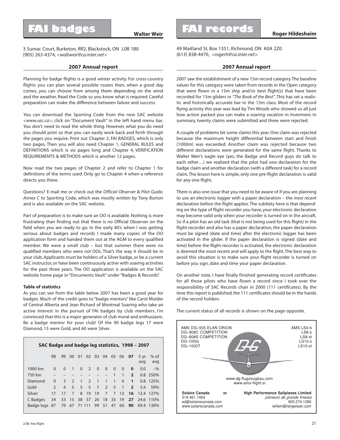3 Sumac Court, Burketon, RR2, Blackstock, ON L0B 1B0 (905) 263-4374, *<waltweir@ca.inter.net>*

### **2007 Annual report**

Planning for badge flights is a good winter activity. For cross-country flights you can plan several possible routes then, when a good day comes, you can choose from among them depending on the wind and the weather. Read the Code so you know what is required. Careful preparation can make the difference between failure and success.

You can download the Sporting Code from the new SAC website *<www.sac.ca>*; click on "Document Vault" in the left hand menu bar. You don't need to read the whole thing. However, what you do need you should print so that you can easily work back and forth through the pages you require. Print out Chapter 2, FAI BADGES, which is only two pages. Then you will also need Chapter 1, GENERAL RULES and DEFINITIONS which is six pages long and Chapter 4, VERIFICATION REQUIREMENTS & METHODS which is another 12 pages.

Now read the two pages of Chapter 2 and refer to Chapter 1 for definitions of the terms used. Only go to Chapter 4 when a reference directs you there.

Questions? E-mail me or check out the *Official Observer & Pilot Guide, Annex C* to Sporting Code, which was mostly written by Tony Burton and is also available on the SAC website.

Part of preparation is to make sure an OO is available. Nothing is more frustrating than finding out that there is no Official Observer on the field when you are ready to go. In the early 80's when I was getting serious about badges and records I made many copies of the OO application form and handed them out at the AGM to every qualified member. We were a small club – but that summer there were no qualified members who were *not* OOs. That's the way it should be in your club. Applicants must be holders of a Silver badge, or be a current SAC instructor, or have been continuously active with soaring activities for the past three years. The OO application is available on the SAC website home page in "Documents Vault" under "Badges & Records".

### **Table of statistics**

As you can see from the table below 2007 has been a good year for badges. Much of the credit goes to "badge mentors" like Carol Mulder of Central Alberta and Jean Richard of Montreal Soaring who take an active interest in the pursuit of FAI badges by club members. I'm convinced that this is a major generator of club moral and enthusiasm. Be a badge mentor for your club! Of the 90 badge legs 17 were Diamond, 13 were Gold, and 60 were Silver.

| SAC Badge and badge leg statistics, 1998 - 2007 |               |                |                |                |                       |                |                |              |                   |                 |                       |               |
|-------------------------------------------------|---------------|----------------|----------------|----------------|-----------------------|----------------|----------------|--------------|-------------------|-----------------|-----------------------|---------------|
|                                                 | 98            | 99             | 00             | 0 <sub>1</sub> |                       |                |                |              | 02 03 04 05 06 07 |                 | $5 \text{ yr}$<br>avq | $%$ of<br>avg |
| 1000 km                                         | $\Omega$      | $\Omega$       | $\mathbf{1}$   | $\Omega$       | $2^{\circ}$           | $\overline{0}$ | $\overline{0}$ | $\Omega$     | $\Omega$          | $\bf{0}$        | 0.0                   | $-$ %         |
| 750 km                                          |               |                |                |                |                       |                |                | $\mathbf{1}$ | $\overline{1}$    | $\overline{2}$  |                       | 0.8 250%      |
| Diamond                                         | $\Omega$      | 3              | $\mathcal{L}$  | $\overline{1}$ | $\mathcal{L}$         | $\bigcap$      | $\blacksquare$ | $\mathbf{1}$ | $\Omega$          | $\mathbf{1}$    |                       | 0.8 125%      |
| Gold                                            | $\mathcal{P}$ | $\overline{4}$ | 5 <sup>7</sup> |                | $5 \quad 5 \quad 7$   |                | 2 <sub>5</sub> |              | $\overline{1}$    | $2^{\circ}$     | 3.4                   | 59%           |
| Silver                                          | 17            | 17             | $\overline{7}$ |                | 8 19                  | 19             | $7^{\circ}$    |              | 7 13              | 16              |                       | 12.4 127%     |
| C Badges                                        | 34            | 33             |                |                | 15 38 57 26 18        |                |                | 33           | 19                | 27 <sub>2</sub> |                       | 24.6 110%     |
| Badge legs 87                                   |               |                |                |                | 79 67 71 111 99 51 47 |                |                |              | 60                | 90              | 69.4                  | 130%          |

49 Maitland St. Box 1351, Richmond, ON K0A 2Z0 (613) 838-4470, *<rogerh@ca.inter.net>*

### **2007 Annual report**

2007 saw the establishment of a new 15m record category. The baseline values for this category were taken from records in the Open category that were flown in a 15m ship and/or best flight(s) that have been recorded for 15m gliders in *"The Book of the Best"*. This has set a realistic and historically accurate bar in the 15m class. Most of the record flying activity this year was lead by Tim Woods who showed us all just how action packed you can make a soaring vacation in Invermere. In summary, twenty claims were submitted and three were rejected.

A couple of problems bit some claims this year. One claim was rejected because the maximum height differential between start and finish (1000m) was exceeded. Another claim was rejected because two different declarations were generated for the same flight. Thanks to Walter Weir's eagle eye (yes, the Badge and Record guys do talk to each other…) we realized that the pilot had one declaration for the badge claim and another declaration (with a different task) for a record claim. The lesson here is simple, only one pre-flight declaration is valid for any one flight.

There is also one issue that you need to be aware of if you are planning to use an electronic logger with a paper declaration – the *most recent* declaration before the flight applies. The subtlety here is that depending on the type of flight recorder you have, your electronic declaration may become valid only when your recorder is turned on in the aircraft. So if a pilot has an old task (that is not being used for this flight) in the flight recorder and also has a paper declaration, the paper declaration must be signed (date and time) after the electronic logger has been activated in the glider. If the paper declaration is signed (date and time) before the flight recorder is activated, the electronic declaration is deemed the most recent and will apply to the flight. The best way to avoid this situation is to make sure your flight recorder is turned on before you sign, date and time your paper declaration.

On another note, I have finally finished generating record certificates for all those pilots who have flown a record since I took over the responsibility of SAC Records chair in 2000 (111 certificates). By the time this report is published, the 111 certificates should be in the hands of the record holders.

The current status of all records is shown on the page opposite.

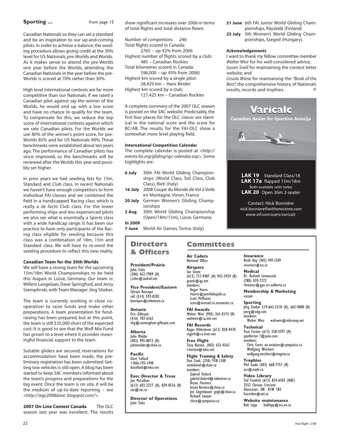### **Sporting ...** from page 15

Canadian Nationals so they can set a standard and be an inspiration to our up-and-coming pilots. In order to achieve a balance, the seeding procedure allows giving credit at the 30% level for US Nationals, pre-Worlds and Worlds. As it makes sense to attend the pre-Worlds one year before the Worlds, attending the Canadian Nationals in the year before the pre-Worlds is scored at 70% rather than 30%.

High level international contests are far more competitive than our Nationals. If we rated a Canadian pilot against say the winner of the Worlds, he would end up with a low score and have no chance to qualify for the team. To compensate for this, we reduce the top score of international contests against which we rate Canadian pilots. For the Worlds we use 80% of the winner's point score, for pre-Worlds 85% and for US Nationals 90%. These benchmarks were established about ten years ago. The performance of Canadian pilots has since improved, so the benchmarks will be reviewed after the Worlds this year and possibly set higher.

In prior years we had seeding lists for 15m, Standard and Club class. In recent Nationals we haven't have enough competitors to form individual FAI classes and we combined the field in a handicapped Racing class which is really a *de facto* Club class. For the lower performing ships and less experienced pilots we also ran what is essentially a Sports class with a wide handicap range. It has been our practice to have only participants of the Racing class eligible for seeding because this class was a combination of 18m, 15m and Standard class. We will have to re-word the seeding procedure to reflect this new reality.

### **Canadian Team for the 30th Worlds**

We will have a strong team for the upcoming 15m/18m World Championships to be held this August in Lüsse, Germany. Our team is: Willem Langelaan, Dave Springford, and Jerzy Szemplinski, with Team Manager Jörg Stieber.

The team is currently working in close cooperation to raise funds and make other preparations. A team presentation for fundraising has been prepared, but at this point, the team is still \$35,000 short of the expected cost. It is good to see that the Wolf Mix Fund has grown to a level where it provides meaningful financial support to the team.

Suitable gliders are secured, reservations for accommodation have been made, the preliminary registration has been submitted. Getting tow vehicles is still open. A blog has been started to keep SAC members informed about the team's progress and preparations for the big event. Once the team is on site, it will be the medium of up-to-date reporting – see *<http://wgc2008dave. blogspot.com/>*.

**2007 On-Line Contest Canada** The OLC season last year was excellent. The results show significant increases over 2006 in terms of total flights and total distance flown.

Number of competitors: 246 Total flights scored in Canada: 2765 – up 42% from 2006 Highest number of flights scored by a club: 485 – Canadian Rockies Total kilometres scored in Canada: 596,000 – up 43% from 2006) Highest km scored by a single pilot: 28,429 km – Hans Binder Highest km scored by a club:

127,425 km – Canadian Rockies

A complete summary of the 2007 OLC season is posted on the SAC website. Predictably, the first four places for the OLC classic are identical in the national score and the score for BC/AB. The results for the FAI-OLC show a somewhat more level playing field.

### **International Competition Calendar**

The complete calendar is posted at *<http:// events.fai.org/gliding/igc-calendar.asp>.* Some highlights are:

- **6 July** 30th FAI World Gliding Championships (World Class, Std Class, Club Class), Rieti (Italy)
- **16 July** 2008 Coupe du Monde de Vol à Voile en Montagne, Vinon, France
- **20 July** German Women's Gliding Championships
- **2 Aug** 30th World Gliding Championship (Open/18m/15m), Lüsse, Germany.

**In 2009**

**7 June** World Air Games, Torino (Italy)

### **Committees**

### **Directors & Officers**

**President/Prairie** John Toles (306) 652-7909 (H) j.toles@sasktel.net

**Vice President/Eastern** Sylvain Bourque cell (514) 592-0283 bourques@videotron.ca

**Ontario** Eric Gillespie (416) 703-6362 ekg@cunningham-gillespie.com

**Alberta** John Mulder ,<br>(403) 945-8072 (H) johnmulder@shaw.ca

**Pacific** Dave Collard 1-866-745-1440 dacollard@telus.net

**Exec Director & Treas** Jim McCollum (613) 692-2227 (H), 829-0536 (B) sac@sac.ca

**Director of Operations** John Toles

**Air Cadets** National Office **Airspace** Ian Grant

(613) 737-9407 (H) 943-2924 (B) granti@igs.net members: Roger Harris rharris@petrillobujold.ca Scott McMaster

scott@mcmail.cis.mcmaster.ca **FAI Awards**

Walter Weir (905) 263-4374 (H) waltweir@ca.intr.net

**FAI Records** Roger Hildesheim (613) 838-4470 rogerh@ca.inter.net **Free Flight**

Tony Burton, (403) 625-4563 t-burton@telus.net

**Flight Training & Safety** Dan Cook, (250) 938-1300 cookdaniel@shaw.ca members: Gabriel Duford gabriel.duford@videotron.ca Bryan Florence bryan.florence@shaw.ca Joe Gegenbauer gegb@shaw.ca

Richard Sawyer cfzcw@sympatico.ca

- **21 June** 6th FAI Junior World Gliding Championships, Räyskälä (Finland)
- **25 July** 5th Women's World Gliding Championships, Szeged (Hungary).

### **Acknowledgements**

I want to thank my fellow committee member *Walter Weir* for his well-considered advice, *Susan Snell* for maintaining the contest letter website, and

*Ursula Wiese* for maintaining the *"Book of the Best",* the comprehensive history of Nationals results, records and trophies.



**LAK 19** Standard Class/18 **LAK 17a** flapped 15m/18m Both available with turbo **LAK 20** Open 26m 2-seater

Contact: Nick Bonnière *nick.bonniere@withonestone.com www.vif.com/users/varicalc*

**Insurance** Keith Hay (403) 949-2509 insurance@sac.ca

**Medical** Dr. Richard Lewanczuk (780) 439-7272 rlewancz@gpu.srv.ualberta.ca

**Membership & Marketing** vacant

**Sporting** Jörg Stieber 519-662-3218 (H), 662-4000 (B) joerg@odg.com members:<br>Walter Weir waltweir@inforamp.net

**Technical** Paul Fortier (613) 258-4297 (H) paulfortier*1*@juno.com members: Chris Eaves xu-aviation@sympatico.ca Wolfgang Weichert

wolfgang.weichert@magma.ca **Trophies** Phil Stade (403) 668-7757 (H)

asc@stade.ca **Video Library** Ted Froelich (613) 824-6503 (H&F) 2552 Cleroux Crescent Gloucester, ON K1W 1B5 fsacvideo@aol.ca

**Website maintenance**<br>Bob Lepp boblepp@aci.on.c boblepp@aci.on.ca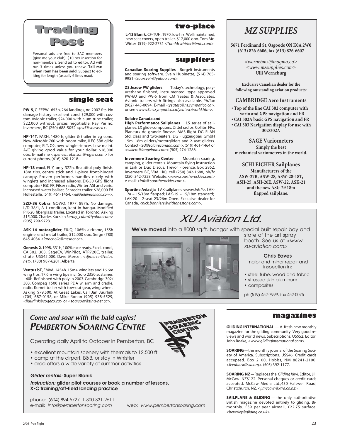

Personal ads are free to SAC members (give me your club). \$10 per insertion for non-members. Send ad to editor. Ad will run 3 times unless you renew. **Tell me when item has been sold**. Subject to editing for length (usually 6 lines max).

### **single seat**

**PW-5**, C-FEPW. 653h, 264 landings, no 2007 flts. No damage history; excellent cond. \$29,000 with custom Avionic trailer, \$24,000 with alum tube trailer, \$22,000 without, prices negotiable. Ray Perino, Invermere, BC (250) 688-5052 *<pw5@shaw.ca>*.

**HP-14T,** FAXH, 1480 h, glider & trailer in vg cond. New MicroAir 760 with boom mike, ILEC SB8 glide computer, ELT, O2, new winglet-fences. Low maint. A/C giving good value for your dollar. \$16,000 obo. E-mail me *<spencer.robinson@rogers.com>* for current photos, (416) 620-1218.

**HP-18 mod**, FIJY, only 322h. Beautiful poly finish. 18m tips, centre stick and 1-piece front-hinged canopy. Proven performer, handles nicely with winglets and increased ailerons. DX-50 GPS flight computer/ IGC FR, Filser radio, Winter ASI and vario. Increased water ballast. Schreder trailer. \$28,000 Ed Hollestelle, (519) 461-1464, *<ed@solairecanada.com>.*

**SZD-36 Cobra**, GQWQ, 1977, 897h. No damage. L/D 38/1, A-1 condition, kept in hangar. Modified PIK-20 fiberglass trailer. Located in Toronto. Asking \$15,000. Charles Kocsis *<karoly\_cobra@yahoo.com>* (905) 799-9723.

**ASK-14 motorglider**, FIUQ, 1065h airframe, 155h engine, encl metal trailer, \$12,000 obo. Serge (780) 645-4034 *<larochelle@mcsnet.ca>*.

**Genesis 2**, 1998, 331h, 100% race ready. Excel. cond., CAI302, 303, SageCV, WinPilot, ATR720C, trailer, chute. US\$45,000. Dave Mercer, *<djmercer@telus. net>*, (780) 987-6201, Alberta.

**Ventus bT**, FMVA, 1454h. 15m+ winglets and 16.6m wing tips. 17.6m wing tips incl. Solo 2350 sustainer, ~40h. Refinished with poly in 2003. Cambridge 302/ 303, Compaq 1500 series PDA w. arm and cradle, radio. Komet trailer with tow-out gear, wing wheel. Asking \$79,500. At Great Lakes. Call Jan Juurlink (705) 687-0158, or Mike Ronan (905) 938-5529, *<jjuurlink@cogeco.ca>* or *<soarspot@zing-net.ca>*.

### **two-place**

**L-13 Blanik**, CF-TUH, 1970, low hrs. Well maintained, new seat covers, open trailer. \$17,000 obo. Tom Mc-Wirter (519) 922-2731 *<TomMcwhirter@bmts.com>.*

### **suppliers**

**Canadian Soaring Supplies** Borgelt instruments and soaring software. Svein Hubinette, (514) 765- 9951 *<soarsvein@yahoo.com>.*

**ZS Jezow PW gliders** Today's technology, polyurethane finished, instrumented, type approved PW-6U and PW-5 from CM Yeates & Associates. Avionic trailers with fittings also available. Ph/fax (902) 443-0094. E-mail *<yeatesc@ns.sympatico.ca>,* or see *<www3.ns.sympatico.ca/yeatesc/world.htm>.*

### **Solaire Canada and**

**High Performance Sailplanes** LS series of sailplanes, LX glide computers, Dittel radios, Collibri FRs. Planeurs de grande finesse. AMS-flight DG ELAN Std. class and two-seaters. DG Flugzeugbau GmbH 15m, 18m gliders/motorgliders and 2-seat gliders. Contact *<ed@solairecanada.com>*, (519) 461-1464 or *<willem@langelaan.com>* (905) 274-1286.

**Invermere Soaring Centre** Mountain soaring, camping, glider rentals. Mountain flying instruction in Lark or Duo Discus. Trevor Florence, Box 2862, Invermere BC, V0A 1K0, cell (250) 342-1688, ph/fx (250) 342-7228*.* Website: *<www.soartherockies.com>* e-mail: *<info@ soartherockies.com>.*

**Sportine Aviacija** LAK sailplanes *<www.lak.lt>.* LAK-17a – 15/18m flapped; LAK-19 – 15/18m standard; LAK-20 – 2-seat 23/26m Open. Exclusive dealer for Canada, *<nick.bonniere@withonestone.com>.*

## *MZ SUPPLIES*

**5671 Ferdinand St, Osgoode ON K0A 2W0 (613) 826-6606, fax (613) 826-6607**

> **<***wernebmz@magma.ca> <www.mzsupplies.com>* **Ulli Werneburg**

**Exclusive Canadian dealer for the following outstanding aviation products:**

### **CAMBRIDGE Aero Instruments**

- **Top of the line CAI 302 computer with vario and GPS navigation and FR**
- **CAI 302A basic GPS navigation and FR • CAI 303 Navigation display for use with**

**302/302A**

**SAGE Variometers Simply the best mechanical variometers in the world.**

**SCHLEICHER Sailplanes Manufacturers of the ASW-27B, ASW-28, ASW-28-18T, ASH-25, ASH-26E, ASW-22, ASK-21 and the new ASG-29 18m flapped sailplane.**

# *XU Aviation Ltd.*

**We've moved** into a 8000 sq.ft. hangar with special built repair bay and



state of the art spray booth. See us at *<www. xu-aviation.com>*

### **Chris Eaves**

major and minor repair and inspection in:

- steel tube, wood and fabric
- stressed skin aluminum

ph (519) 452-7999, fax 452-0075

### **Come and soar with the bald eagles! PEMBERTON SOARING CENTRE**

Operating daily April to October in Pemberton, BC

- excellent mountain scenery with thermals to 12,500 ft
- camp at the airport, B&B, or stay in Whistler
- area offers a wide variety of summer activities

### *Glider rentals: Super Blanik*

*Instruction: glider pilot courses or book a number of lessons, X-C training/off-field landing practice*

phone: (604) 894-5727, 1-800-831-2611 e-mail: *info@pembertonsoaring.com* web: *www.pembertonsoaring.com*



**SOARING** — the monthly journal of the Soaring Society of America. Subscriptions, US\$46. Credit cards accepted. Box 2100, Hobbs, NM 88241-2100. *<feedback@ssa.org>.* (505) 392-1177.

**SOARING NZ** — Replaces the *Gliding Kiwi*. Editor, Jill McCaw. NZ\$122. Personal cheques or credit cards accepted. McCaw Media Ltd.,430 Halswell Road, Christchurch, NZ. *<j.mccaw @xtra.co.nz>.*

**SAILPLANE & GLIDING** - the only authoritative British magazine devoted entirely to gliding. Bimonthly. £39 per year airmail, £22.75 surface. *<beverley@gliding.co.uk>.*

• composites